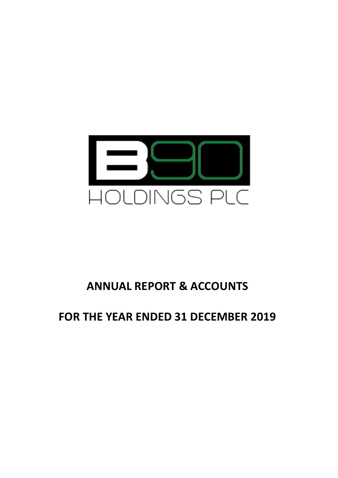

# **ANNUAL REPORT & ACCOUNTS**

# **FOR THE YEAR ENDED 31 DECEMBER 2019**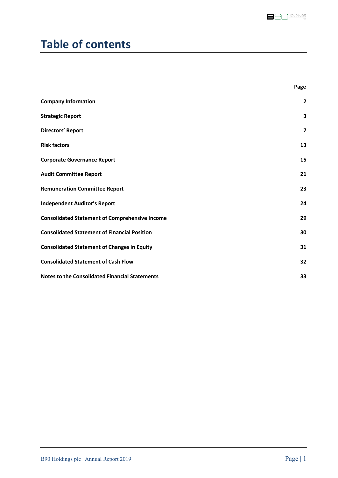# **Table of contents**

|                                                       | Page           |
|-------------------------------------------------------|----------------|
| <b>Company Information</b>                            | $\mathbf{2}$   |
| <b>Strategic Report</b>                               | 3              |
| Directors' Report                                     | $\overline{7}$ |
| <b>Risk factors</b>                                   | 13             |
| <b>Corporate Governance Report</b>                    | 15             |
| <b>Audit Committee Report</b>                         | 21             |
| <b>Remuneration Committee Report</b>                  | 23             |
| <b>Independent Auditor's Report</b>                   | 24             |
| <b>Consolidated Statement of Comprehensive Income</b> | 29             |
| <b>Consolidated Statement of Financial Position</b>   | 30             |
| <b>Consolidated Statement of Changes in Equity</b>    | 31             |
| <b>Consolidated Statement of Cash Flow</b>            | 32             |
| <b>Notes to the Consolidated Financial Statements</b> | 33             |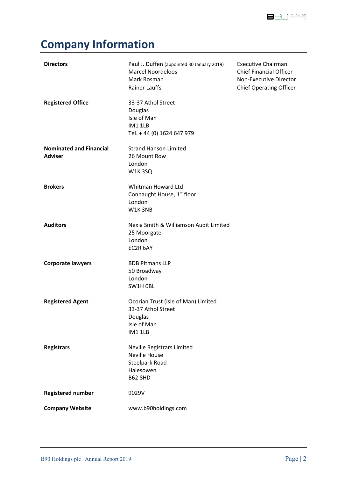

# **Company Information**

| <b>Directors</b><br><b>Registered Office</b>     | Paul J. Duffen (appointed 30 January 2019)<br><b>Marcel Noordeloos</b><br>Mark Rosman<br><b>Rainer Lauffs</b><br>33-37 Athol Street | <b>Executive Chairman</b><br><b>Chief Financial Officer</b><br>Non-Executive Director<br><b>Chief Operating Officer</b> |
|--------------------------------------------------|-------------------------------------------------------------------------------------------------------------------------------------|-------------------------------------------------------------------------------------------------------------------------|
|                                                  | Douglas<br>Isle of Man<br>IM1 1LB<br>Tel. + 44 (0) 1624 647 979                                                                     |                                                                                                                         |
| <b>Nominated and Financial</b><br><b>Adviser</b> | <b>Strand Hanson Limited</b><br>26 Mount Row<br>London<br><b>W1K3SQ</b>                                                             |                                                                                                                         |
| <b>Brokers</b>                                   | Whitman Howard Ltd<br>Connaught House, 1 <sup>st</sup> floor<br>London<br>W1K3NB                                                    |                                                                                                                         |
| <b>Auditors</b>                                  | Nexia Smith & Williamson Audit Limited<br>25 Moorgate<br>London<br>EC2R 6AY                                                         |                                                                                                                         |
| <b>Corporate lawyers</b>                         | <b>BDB Pitmans LLP</b><br>50 Broadway<br>London<br>SW1H OBL                                                                         |                                                                                                                         |
| <b>Registered Agent</b>                          | Ocorian Trust (Isle of Man) Limited<br>33-37 Athol Street<br>Douglas<br>Isle of Man<br><b>IM11LB</b>                                |                                                                                                                         |
| <b>Registrars</b>                                | Neville Registrars Limited<br><b>Neville House</b><br><b>Steelpark Road</b><br>Halesowen<br><b>B62 8HD</b>                          |                                                                                                                         |
| <b>Registered number</b>                         | 9029V                                                                                                                               |                                                                                                                         |
| <b>Company Website</b>                           | www.b90holdings.com                                                                                                                 |                                                                                                                         |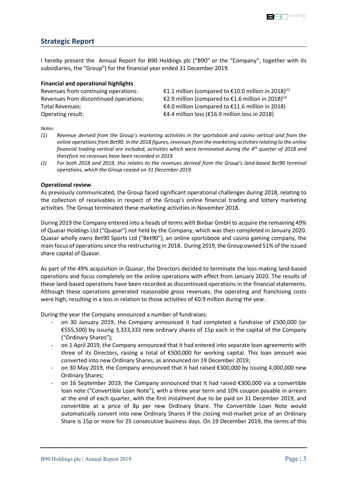

# **Strategic Report**

I hereby present the Annual Report for B90 Holdings plc ("B90" or the "Company", together with its subsidiaries, the "Group") for the financial year ended 31 December 2019.

#### **Financial and operational highlights**

| Revenues from continuing operations:   | €1.1 million (compared to €10.0 million in 2018) <sup>(1)</sup> |
|----------------------------------------|-----------------------------------------------------------------|
| Revenues from discontinued operations: | €2.9 million (compared to €1.6 million in 2018) <sup>(2)</sup>  |
| <b>Total Revenues:</b>                 | €4.0 million (compared to $€11.6$ million in 2018)              |
| Operating result:                      | €4.4 million loss (€16.9 million loss in 2018)                  |

*Notes:*

- *(1) Revenue derived from the Group's marketing activities in the sportsbook and casino vertical and from the online operations from Bet90. In the 2018 figures, revenues from the marketing activities relating to the online financial trading vertical are included, activities which were terminated during the 4th quarter of 2018 and therefore no revenues have been recorded in 2019.*
- *(2) For both 2018 and 2019, this relates to the revenues derived from the Group's land-based Bet90 terminal operations, which the Group ceased on 31 December 2019.*

#### **Operational review**

As previously communicated, the Group faced significant operational challenges during 2018, relating to the collection of receivables in respect of the Group's online financial trading and lottery marketing activities. The Group terminated these marketing activities in November 2018.

During 2019 the Company entered into a heads of terms with Binbar GmbH to acquire the remaining 49% of Quasar Holdings Ltd ("Quasar") not held by the Company, which was then completed in January 2020. Quasar wholly owns Bet90 Sports Ltd ("Bet90"), an online sportsbook and casino gaming company, the main focus of operations since the restructuring in 2018. During 2019, the Group owned 51% of the issued share capital of Quasar.

As part of the 49% acquisition in Quasar, the Directors decided to terminate the loss making land-based operations and focus completely on the online operations with effect from January 2020. The results of these land-based operations have been recorded as discontinued operations in the financial statements. Although these operations generated reasonable gross revenues, the operating and franchising costs were high, resulting in a loss in relation to those activities of €0.9 million during the year.

During the year the Company announced a number of fundraises:

- on 30 January 2019, the Company announced it had completed a fundraise of £500,000 (or €555,500) by issuing 3,333,333 new ordinary shares of 15p each in the capital of the Company ("Ordinary Shares");
- on 1 April 2019, the Company announced that it had entered into separate loan agreements with three of its Directors, raising a total of €500,000 for working capital. This loan amount was converted into new Ordinary Shares, as announced on 19 December 2019;
- on 30 May 2019, the Company announced that it had raised €300,000 by issuing 4,000,000 new Ordinary Shares;
- on 16 September 2019, the Company announced that it had raised €300,000 via a convertible loan note ("Convertible Loan Note"), with a three year term and 10% coupon payable in arrears at the end of each quarter, with the first instalment due to be paid on 31 December 2019, and convertible at a price of 8p per new Ordinary Share. The Convertible Loan Note would automatically convert into new Ordinary Shares if the closing mid-market price of an Ordinary Share is 15p or more for 25 consecutive business days. On 19 December 2019, the terms of this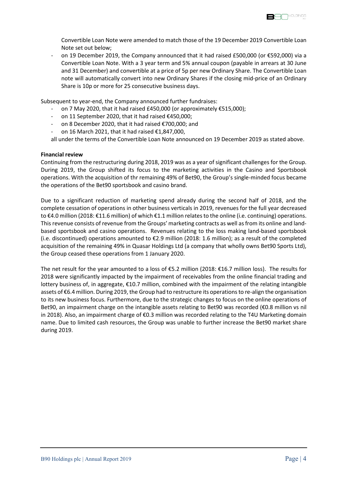

Convertible Loan Note were amended to match those of the 19 December 2019 Convertible Loan Note set out below;

on 19 December 2019, the Company announced that it had raised £500,000 (or €592,000) via a Convertible Loan Note. With a 3 year term and 5% annual coupon (payable in arrears at 30 June and 31 December) and convertible at a price of 5p per new Ordinary Share. The Convertible Loan note will automatically convert into new Ordinary Shares if the closing mid-price of an Ordinary Share is 10p or more for 25 consecutive business days.

Subsequent to year-end, the Company announced further fundraises:

- on 7 May 2020, that it had raised £450,000 (or approximately €515,000);
- on 11 September 2020, that it had raised €450,000;
- on 8 December 2020, that it had raised €700,000; and
- on 16 March 2021, that it had raised  $£1,847,000,$

all under the terms of the Convertible Loan Note announced on 19 December 2019 as stated above.

#### **Financial review**

Continuing from the restructuring during 2018, 2019 was as a year of significant challenges for the Group. During 2019, the Group shifted its focus to the marketing activities in the Casino and Sportsbook operations. With the acquisition of thr remaining 49% of Bet90, the Group's single-minded focus became the operations of the Bet90 sportsbook and casino brand.

Due to a significant reduction of marketing spend already during the second half of 2018, and the complete cessation of operations in other business verticals in 2019, revenues for the full year decreased to €4.0 million (2018: €11.6 million) of which €1.1 million relates to the online (i.e. continuing) operations. This revenue consists of revenue from the Groups' marketing contracts as well as from its online and landbased sportsbook and casino operations. Revenues relating to the loss making land-based sportsbook (i.e. discontinued) operations amounted to  $\epsilon$ 2.9 million (2018: 1.6 million); as a result of the completed acquisition of the remaining 49% in Quasar Holdings Ltd (a company that wholly owns Bet90 Sports Ltd), the Group ceased these operations from 1 January 2020.

The net result for the year amounted to a loss of €5.2 million (2018: €16.7 million loss). The results for 2018 were significantly impacted by the impairment of receivables from the online financial trading and lottery business of, in aggregate, €10.7 million, combined with the impairment of the relating intangible assets of €6.4 million. During 2019, the Group had to restructure its operations to re-align the organisation to its new business focus. Furthermore, due to the strategic changes to focus on the online operations of Bet90, an impairment charge on the intangible assets relating to Bet90 was recorded (€0.8 million vs nil in 2018). Also, an impairment charge of €0.3 million was recorded relating to the T4U Marketing domain name. Due to limited cash resources, the Group was unable to further increase the Bet90 market share during 2019.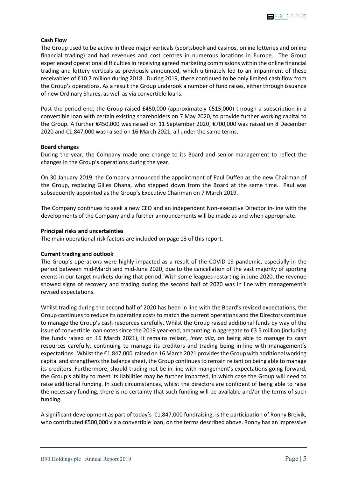#### **Cash Flow**

The Group used to be active in three major verticals (sportsbook and casinos, online lotteries and online financial trading) and had revenues and cost centres in numerous locations in Europe. The Group experienced operational difficulties in receiving agreed marketing commissions within the online financial trading and lottery verticals as previously announced, which ultimately led to an impairment of these receivables of €10.7 million during 2018. During 2019, there continued to be only limited cash flow from the Group's operations. As a result the Group underook a number of fund raises, either through issuance of new Ordinary Shares, as well as via convertible loans.

Post the period end, the Group raised £450,000 (approximately €515,000) through a subscription in a convertible loan with certain existing shareholders on 7 May 2020, to provide further working capital to the Group. A further €450,000 was raised on 11 September 2020, €700,000 was raised on 8 December 2020 and €1,847,000 was raised on 16 March 2021, all under the same terms.

#### **Board changes**

During the year, the Company made one change to its Board and senior management to reflect the changes in the Group's operations during the year.

On 30 January 2019, the Company announced the appointment of Paul Duffen as the new Chairman of the Group, replacing Gilles Ohana, who stepped down from the Board at the same time. Paul was subsequently appointed as the Group's Executive Chairman on 7 March 2019.

The Company continues to seek a new CEO and an independent Non-executive Director in-line with the developments of the Company and a further announcements will be made as and when appropriate.

#### **Principal risks and uncertainties**

The main operational risk factors are included on page 13 of this report.

#### **Current trading and outlook**

The Group's operations were highly impacted as a result of the COVID-19 pandemic, especially in the period between mid-March and mid-June 2020, due to the cancellation of the vast majority of sporting events in our target markets during that period. With some leagues restarting in June 2020, the revenue showed signs of recovery and trading during the second half of 2020 was in line with management's revised expectations.

Whilst trading during the second half of 2020 has been in line with the Board's revised expectations, the Group continues to reduce its operating costs to match the current operations and the Directors continue to manage the Group's cash resources carefully. Whilst the Group raised additional funds by way of the issue of convertible loan notes since the 2019 year-end, amounting in aggregate to €3.5 million (including the funds raised on 16 March 2021), it remains reliant, *inter alia*, on being able to manage its cash resources carefully, continuing to manage its creditors and trading being in-line with management's expectations. Whilst the €1,847,000 raised on 16 March 2021 providesthe Group with additional working capital and strengthensthe balance sheet, the Group continues to remain reliant on being able to manage its creditors. Furthermore, should trading not be in-line with mangement's expectations going forward, the Group's ability to meet its liabilities may be further impacted, in which case the Group will need to raise additional funding. In such circumstances, whilst the directors are confident of being able to raise the necessary funding, there is no certainty that such funding will be available and/or the terms of such funding.

A significant development as part of today's €1,847,000 fundraising, is the participation of Ronny Breivik, who contributed €500,000 via a convertible loan, on the terms described above. Ronny has an impressive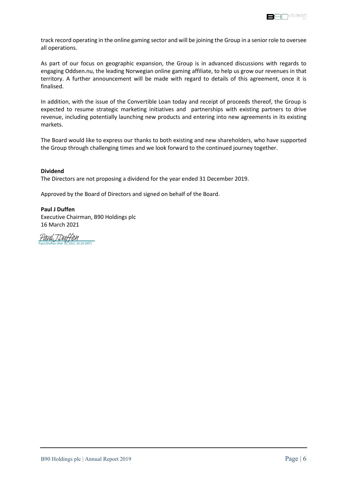track record operating in the online gaming sector and will be joining the Group in a senior role to oversee all operations.

As part of our focus on geographic expansion, the Group is in advanced discussions with regards to engaging Oddsen.nu, the leading Norwegian online gaming affiliate, to help us grow our revenues in that territory. A further announcement will be made with regard to details of this agreement, once it is finalised.

In addition, with the issue of the Convertible Loan today and receipt of proceeds thereof, the Group is expected to resume strategic marketing initiatives and partnerships with existing partners to drive revenue, including potentially launching new products and entering into new agreements in its existing markets.

The Board would like to express our thanks to both existing and new shareholders, who have supported the Group through challenging times and we look forward to the continued journey together.

#### **Dividend**

The Directors are not proposing a dividend for the year ended 31 December 2019.

Approved by the Board of Directors and signed on behalf of the Board.

#### **Paul J Duffen**

Executive Chairman, B90 Holdings plc 16 March 2021

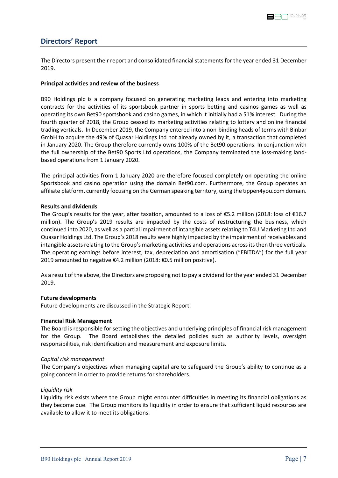

# **Directors' Report**

The Directors present their report and consolidated financial statements for the year ended 31 December 2019.

#### **Principal activities and review of the business**

B90 Holdings plc is a company focused on generating marketing leads and entering into marketing contracts for the activities of its sportsbook partner in sports betting and casinos games as well as operating its own Bet90 sportsbook and casino games, in which it initially had a 51% interest. During the fourth quarter of 2018, the Group ceased its marketing activities relating to lottery and online financial trading verticals. In December 2019, the Company entered into a non-binding heads of terms with Binbar GmbH to acquire the 49% of Quasar Holdings Ltd not already owned by it, a transaction that completed in January 2020. The Group therefore currently owns 100% of the Bet90 operations. In conjunction with the full ownership of the Bet90 Sports Ltd operations, the Company terminated the loss-making landbased operations from 1 January 2020.

The principal activities from 1 January 2020 are therefore focused completely on operating the online Sportsbook and casino operation using the domain Bet90.com. Furthermore, the Group operates an affiliate platform, currently focusing on the German speaking territory, using the tippen4you.com domain.

#### **Results and dividends**

The Group's results for the year, after taxation, amounted to a loss of  $\epsilon$ 5.2 million (2018: loss of  $\epsilon$ 16.7 million). The Group's 2019 results are impacted by the costs of restructuring the business, which continued into 2020, as well as a partial impairment of intangible assets relating to T4U Marketing Ltd and Quasar Holdings Ltd. The Group's 2018 results were highly impacted by the impairment of receivables and intangible assets relating to the Group's marketing activities and operations across its then three verticals. The operating earnings before interest, tax, depreciation and amortisation ("EBITDA") for the full year 2019 amounted to negative €4.2 million (2018: €0.5 million positive).

As a result of the above, the Directors are proposing not to pay a dividend forthe year ended 31 December 2019.

#### **Future developments**

Future developments are discussed in the Strategic Report.

#### **Financial Risk Management**

The Board is responsible for setting the objectives and underlying principles of financial risk management for the Group. The Board establishes the detailed policies such as authority levels, oversight responsibilities, risk identification and measurement and exposure limits.

#### *Capital risk management*

The Company's objectives when managing capital are to safeguard the Group's ability to continue as a going concern in order to provide returns for shareholders.

#### *Liquidity risk*

Liquidity risk exists where the Group might encounter difficulties in meeting its financial obligations as they become due. The Group monitors its liquidity in order to ensure that sufficient liquid resources are available to allow it to meet its obligations.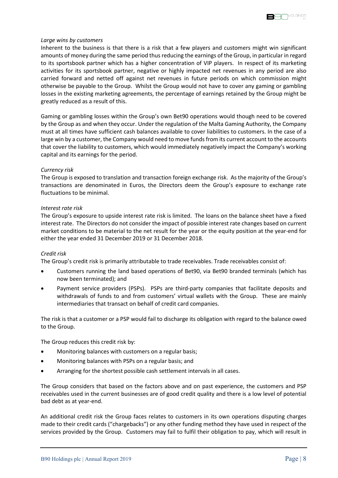#### *Large wins by customers*

Inherent to the business is that there is a risk that a few players and customers might win significant amounts of money during the same period thus reducing the earnings of the Group, in particular in regard to its sportsbook partner which has a higher concentration of VIP players. In respect of its marketing activities for its sportsbook partner, negative or highly impacted net revenues in any period are also carried forward and netted off against net revenues in future periods on which commission might otherwise be payable to the Group. Whilst the Group would not have to cover any gaming or gambling losses in the existing marketing agreements, the percentage of earnings retained by the Group might be greatly reduced as a result of this.

Gaming or gambling losses within the Group's own Bet90 operations would though need to be covered by the Group as and when they occur. Under the regulation of the Malta Gaming Authority, the Company must at all times have sufficient cash balances available to cover liabilities to customers. In the case of a large win by a customer, the Company would need to move funds from its current account to the accounts that cover the liability to customers, which would immediately negatively impact the Company's working capital and its earnings for the period.

#### *Currency risk*

The Group is exposed to translation and transaction foreign exchange risk. As the majority of the Group's transactions are denominated in Euros, the Directors deem the Group's exposure to exchange rate fluctuations to be minimal.

#### *Interest rate risk*

The Group's exposure to upside interest rate risk is limited. The loans on the balance sheet have a fixed interest rate. The Directors do not consider the impact of possible interest rate changes based on current market conditions to be material to the net result for the year or the equity position at the year-end for either the year ended 31 December 2019 or 31 December 2018.

#### *Credit risk*

The Group's credit risk is primarily attributable to trade receivables. Trade receivables consist of:

- Customers running the land based operations of Bet90, via Bet90 branded terminals (which has now been terminated); and
- Payment service providers (PSPs). PSPs are third-party companies that facilitate deposits and withdrawals of funds to and from customers' virtual wallets with the Group. These are mainly intermediaries that transact on behalf of credit card companies.

The risk is that a customer or a PSP would fail to discharge its obligation with regard to the balance owed to the Group.

The Group reduces this credit risk by:

- Monitoring balances with customers on a regular basis;
- Monitoring balances with PSPs on a regular basis; and
- Arranging for the shortest possible cash settlement intervals in all cases.

The Group considers that based on the factors above and on past experience, the customers and PSP receivables used in the current businesses are of good credit quality and there is a low level of potential bad debt as at year-end.

An additional credit risk the Group faces relates to customers in its own operations disputing charges made to their credit cards ("chargebacks") or any other funding method they have used in respect of the services provided by the Group. Customers may fail to fulfil their obligation to pay, which will result in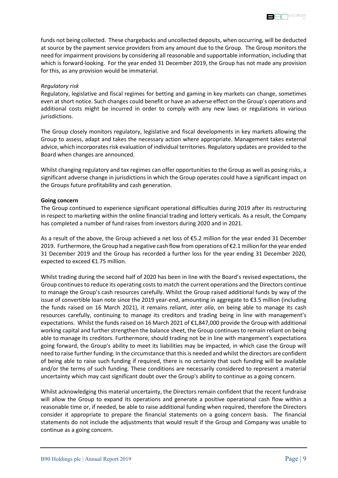

funds not being collected. These chargebacks and uncollected deposits, when occurring, will be deducted at source by the payment service providers from any amount due to the Group. The Group monitors the need for impairment provisions by considering all reasonable and supportable information, including that which is forward-looking. For the year ended 31 December 2019, the Group has not made any provision for this, as any provision would be immaterial.

#### *Regulatory risk*

Regulatory, legislative and fiscal regimes for betting and gaming in key markets can change, sometimes even at short notice. Such changes could benefit or have an adverse effect on the Group's operations and additional costs might be incurred in order to comply with any new laws or regulations in various jurisdictions.

The Group closely monitors regulatory, legislative and fiscal developments in key markets allowing the Group to assess, adapt and takes the necessary action where appropriate. Management takes external advice, which incorporates risk evaluation of individual territories. Regulatory updates are provided to the Board when changes are announced.

Whilst changing regulatory and tax regimes can offer opportunities to the Group as well as posing risks, a significant adverse change in jurisdictions in which the Group operates could have a significant impact on the Groups future profitability and cash generation.

#### **Going concern**

The Group continued to experience significant operational difficulties during 2019 after its restructuring in respect to marketing within the online financial trading and lottery verticals. As a result, the Company has completed a number of fund raises from investors during 2020 and in 2021.

As a result of the above, the Group achieved a net loss of €5.2 million for the year ended 31 December 2019. Furthermore, the Group had a negative cash flow from operations of €2.1 million for the year ended 31 December 2019 and the Group has recorded a further loss for the year ending 31 December 2020, expected to exceed €1.75 million.

Whilst trading during the second half of 2020 has been in line with the Board's revised expectations, the Group continues to reduce its operating costs to match the current operations and the Directors continue to manage the Group's cash resources carefully. Whilst the Group raised additional funds by way of the issue of convertible loan note since the 2019 year-end, amounting in aggregate to €3.5 million (including the funds raised on 16 March 2021), it remains reliant, *inter alia*, on being able to manage its cash resources carefully, continuing to manage its creditors and trading being in line with management's expectations. Whilst the funds raised on 16 March 2021 of €1,847,000 provide the Group with additional working capital and further strengthen the balance sheet, the Group continues to remain reliant on being able to manage its creditors. Furthermore, should trading not be in line with mangement's expectations going forward, the Group's ability to meet its liabilities may be impacted, in which case the Group will need to raise further funding. In the circumstance that this is needed and whilst the directors are confident of being able to raise such funding if required, there is no certainty that such funding will be available and/or the terms of such funding. These conditions are necessarily considered to represent a material uncertainty which may cast significant doubt over the Group's ability to continue as a going concern.

Whilst acknowledging this material uncertainty, the Directors remain confident that the recent fundraise will allow the Group to expand its operations and generate a positive operational cash flow within a reasonable time or, if needed, be able to raise additional funding when required, therefore the Directors consider it appropriate to prepare the financial statements on a going concern basis. The financial statements do not include the adjustments that would result if the Group and Company was unable to continue as a going concern.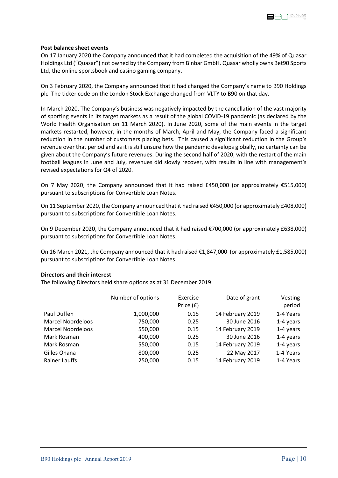

#### **Post balance sheet events**

On 17 January 2020 the Company announced that it had completed the acquisition of the 49% of Quasar Holdings Ltd ("Quasar") not owned by the Company from Binbar GmbH. Quasar wholly owns Bet90 Sports Ltd, the online sportsbook and casino gaming company.

On 3 February 2020, the Company announced that it had changed the Company's name to B90 Holdings plc. The ticker code on the London Stock Exchange changed from VLTY to B90 on that day.

In March 2020, The Company's business was negatively impacted by the cancellation of the vast majority of sporting events in its target markets as a result of the global COVID-19 pandemic (as declared by the World Health Organisation on 11 March 2020). In June 2020, some of the main events in the target markets restarted, however, in the months of March, April and May, the Company faced a significant reduction in the number of customers placing bets. This caused a significant reduction in the Group's revenue over that period and as it is still unsure how the pandemic develops globally, no certainty can be given about the Company's future revenues. During the second half of 2020, with the restart of the main football leagues in June and July, revenues did slowly recover, with results in line with management's revised expectations for Q4 of 2020.

On 7 May 2020, the Company announced that it had raised £450,000 (or approximately €515,000) pursuant to subscriptions for Convertible Loan Notes.

On 11 September 2020, the Company announced that it had raised €450,000 (or approximately £408,000) pursuant to subscriptions for Convertible Loan Notes.

On 9 December 2020, the Company announced that it had raised €700,000 (or approximately £638,000) pursuant to subscriptions for Convertible Loan Notes.

On 16 March 2021, the Company announced that it had raised €1,847,000 (or approximately £1,585,000) pursuant to subscriptions for Convertible Loan Notes.

#### **Directors and their interest**

The following Directors held share options as at 31 December 2019:

|                          | Number of options | Exercise<br>Price (£) | Date of grant    | Vesting<br>period |
|--------------------------|-------------------|-----------------------|------------------|-------------------|
| Paul Duffen              | 1,000,000         | 0.15                  | 14 February 2019 | 1-4 Years         |
| <b>Marcel Noordeloos</b> | 750,000           | 0.25                  | 30 June 2016     | 1-4 years         |
| <b>Marcel Noordeloos</b> | 550,000           | 0.15                  | 14 February 2019 | 1-4 years         |
| Mark Rosman              | 400,000           | 0.25                  | 30 June 2016     | 1-4 years         |
| Mark Rosman              | 550,000           | 0.15                  | 14 February 2019 | 1-4 years         |
| Gilles Ohana             | 800,000           | 0.25                  | 22 May 2017      | 1-4 Years         |
| Rainer Lauffs            | 250,000           | 0.15                  | 14 February 2019 | 1-4 Years         |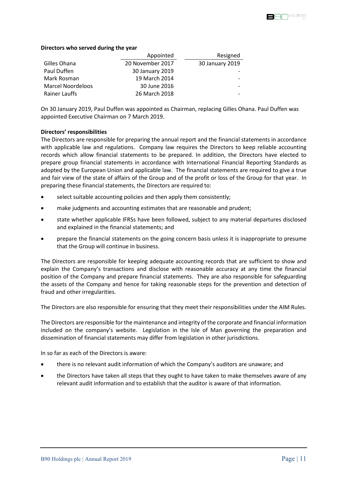

#### **Directors who served during the year**

|                          | Appointed        | Resigned        |
|--------------------------|------------------|-----------------|
| Gilles Ohana             | 20 November 2017 | 30 January 2019 |
| Paul Duffen              | 30 January 2019  |                 |
| Mark Rosman              | 19 March 2014    |                 |
| <b>Marcel Noordeloos</b> | 30 June 2016     |                 |
| Rainer Lauffs            | 26 March 2018    |                 |

On 30 January 2019, Paul Duffen was appointed as Chairman, replacing Gilles Ohana. Paul Duffen was appointed Executive Chairman on 7 March 2019.

#### **Directors' responsibilities**

The Directors are responsible for preparing the annual report and the financial statements in accordance with applicable law and regulations. Company law requires the Directors to keep reliable accounting records which allow financial statements to be prepared. In addition, the Directors have elected to prepare group financial statements in accordance with International Financial Reporting Standards as adopted by the European Union and applicable law. The financial statements are required to give a true and fair view of the state of affairs of the Group and of the profit or loss of the Group for that year. In preparing these financial statements, the Directors are required to:

- select suitable accounting policies and then apply them consistently;
- make judgments and accounting estimates that are reasonable and prudent;
- state whether applicable IFRSs have been followed, subject to any material departures disclosed and explained in the financial statements; and
- prepare the financial statements on the going concern basis unless it is inappropriate to presume that the Group will continue in business.

The Directors are responsible for keeping adequate accounting records that are sufficient to show and explain the Company's transactions and disclose with reasonable accuracy at any time the financial position of the Company and prepare financial statements. They are also responsible for safeguarding the assets of the Company and hence for taking reasonable steps for the prevention and detection of fraud and other irregularities.

The Directors are also responsible for ensuring that they meet their responsibilities under the AIM Rules.

The Directors are responsible forthe maintenance and integrity of the corporate and financial information included on the company's website. Legislation in the Isle of Man governing the preparation and dissemination of financial statements may differ from legislation in other jurisdictions.

In so far as each of the Directors is aware:

- there is no relevant audit information of which the Company's auditors are unaware; and
- the Directors have taken all steps that they ought to have taken to make themselves aware of any relevant audit information and to establish that the auditor is aware of that information.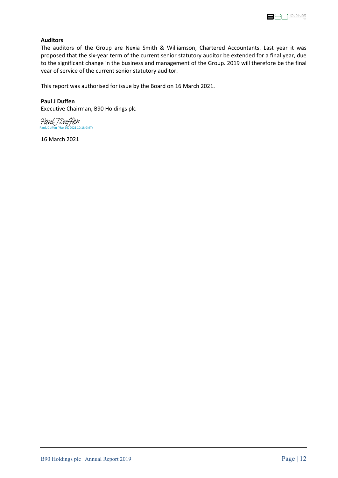

#### **Auditors**

The auditors of the Group are Nexia Smith & Williamson, Chartered Accountants. Last year it was proposed that the six-year term of the current senior statutory auditor be extended for a final year, due to the significant change in the business and management of the Group. 2019 will therefore be the final year of service of the current senior statutory auditor.

This report was authorised for issue by the Board on 16 March 2021.

**Paul J Duffen** Executive Chairman, B90 Holdings plc

 $\overline{O:18$  GMT) [PaulJDuffen](https://smithandwilliamson.eu1.echosign.com/verifier?tx=CBJCHBCAABAAT4kfSQ-rqUDyBDbmtyDKb0lUyDNnhkqR)

16 March 2021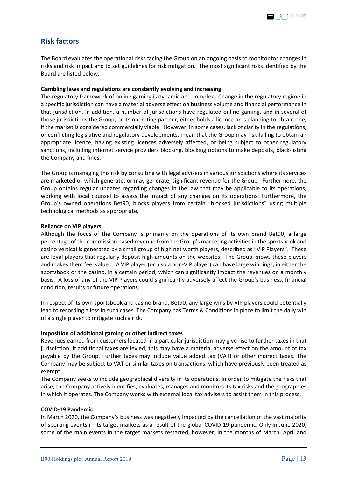

# **Risk factors**

The Board evaluates the operational risks facing the Group on an ongoing basis to monitor for changes in risks and risk impact and to set guidelines for risk mitigation. The most significant risks identified by the Board are listed below.

#### **Gambling laws and regulations are constantly evolving and increasing**

The regulatory framework of online gaming is dynamic and complex. Change in the regulatory regime in a specific jurisdiction can have a material adverse effect on business volume and financial performance in that jurisdiction. In addition, a number of jurisdictions have regulated online gaming, and in several of those jurisdictions the Group, or its operating partner, either holds a licence or is planning to obtain one, if the market is considered commercially viable. However, in some cases, lack of clarity in the regulations, or conflicting legislative and regulatory developments, mean that the Group may risk failing to obtain an appropriate licence, having existing licences adversely affected, or being subject to other regulatory sanctions, including internet service providers blocking, blocking options to make deposits, black-listing the Company and fines.

The Group is managing this risk by consulting with legal advisers in various jurisdictions where its services are marketed or which generate, or may generate, significant revenue for the Group. Furthermore, the Group obtains regular updates regarding changes in the law that may be applicable to its operations, working with local counsel to assess the impact of any changes on its operations. Furthermore, the Group's owned operations Bet90, blocks players from certain "blocked jurisdictions" using multiple technological methods as appropriate.

#### **Reliance on VIP players**

Although the focus of the Company is primarily on the operations of its own brand Bet90, a large percentage of the commission based revenue from the Group's marketing activities in the sportsbook and casino vertical is generated by a small group of high net worth players, described as "VIP Players". These are loyal players that regularly deposit high amounts on the websites. The Group knows these players and makes them feel valued. A VIP player (or also a non-VIP player) can have large winnings, in either the sportsbook or the casino, in a certain period, which can significantly impact the revenues on a monthly basis. A loss of any of the VIP Players could significantly adversely affect the Group's business, financial condition, results or future operations.

In respect of its own sportsbook and casino brand, Bet90, any large wins by VIP players could potentially lead to recording a loss in such cases. The Company has Terms & Conditions in place to limit the daily win of a single player to mitigate such a risk.

#### **Imposition of additional gaming or other indirect taxes**

Revenues earned from customers located in a particular jurisdiction may give rise to further taxes in that jurisdiction. If additional taxes are levied, this may have a material adverse effect on the amount of tax payable by the Group. Further taxes may include value added tax (VAT) or other indirect taxes. The Company may be subject to VAT or similar taxes on transactions, which have previously been treated as exempt.

The Company seeks to include geographical diversity in its operations. In order to mitigate the risks that arise, the Company actively identifies, evaluates, manages and monitors its tax risks and the geographies in which it operates. The Company works with external local tax advisers to assist them in this process.

#### **COVID-19 Pandemic**

In March 2020, the Company's business was negatively impacted by the cancellation of the vast majority of sporting events in its target markets as a result of the global COVID-19 pandemic. Only in June 2020, some of the main events in the target markets restarted, however, in the months of March, April and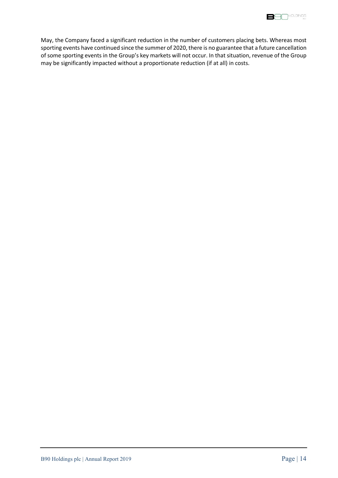

May, the Company faced a significant reduction in the number of customers placing bets. Whereas most sporting events have continued since the summer of 2020, there is no guarantee that a future cancellation of some sporting events in the Group's key markets will not occur. In that situation, revenue of the Group may be significantly impacted without a proportionate reduction (if at all) in costs.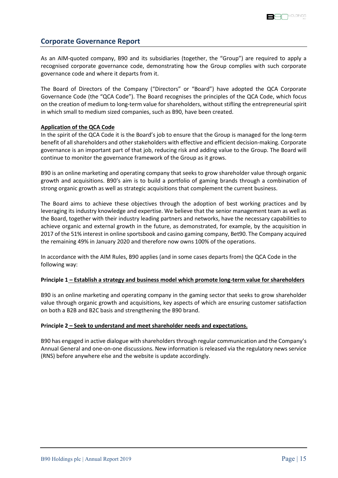

# **Corporate Governance Report**

As an AIM-quoted company, B90 and its subsidiaries (together, the "Group") are required to apply a recognised corporate governance code, demonstrating how the Group complies with such corporate governance code and where it departs from it.

The Board of Directors of the Company ("Directors" or "Board") have adopted the QCA Corporate Governance Code (the "QCA Code"). The Board recognises the principles of the QCA Code, which focus on the creation of medium to long-term value for shareholders, without stifling the entrepreneurial spirit in which small to medium sized companies, such as B90, have been created.

#### **Application of the QCA Code**

In the spirit of the QCA Code it is the Board's job to ensure that the Group is managed for the long-term benefit of all shareholders and other stakeholders with effective and efficient decision-making. Corporate governance is an important part of that job, reducing risk and adding value to the Group. The Board will continue to monitor the governance framework of the Group as it grows.

B90 is an online marketing and operating company that seeks to grow shareholder value through organic growth and acquisitions. B90's aim is to build a portfolio of gaming brands through a combination of strong organic growth as well as strategic acquisitions that complement the current business.

The Board aims to achieve these objectives through the adoption of best working practices and by leveraging its industry knowledge and expertise. We believe that the senior management team as well as the Board, together with their industry leading partners and networks, have the necessary capabilities to achieve organic and external growth in the future, as demonstrated, for example, by the acquisition in 2017 of the 51% interest in online sportsbook and casino gaming company, Bet90. The Company acquired the remaining 49% in January 2020 and therefore now owns 100% of the operations.

In accordance with the AIM Rules, B90 applies (and in some cases departs from) the QCA Code in the following way:

#### **Principle 1 – Establish a strategy and business model which promote long-term value for shareholders**

B90 is an online marketing and operating company in the gaming sector that seeks to grow shareholder value through organic growth and acquisitions, key aspects of which are ensuring customer satisfaction on both a B2B and B2C basis and strengthening the B90 brand.

#### **Principle 2 – Seek to understand and meet shareholder needs and expectations.**

B90 has engaged in active dialogue with shareholders through regular communication and the Company's Annual General and one-on-one discussions. New information is released via the regulatory news service (RNS) before anywhere else and the website is update accordingly.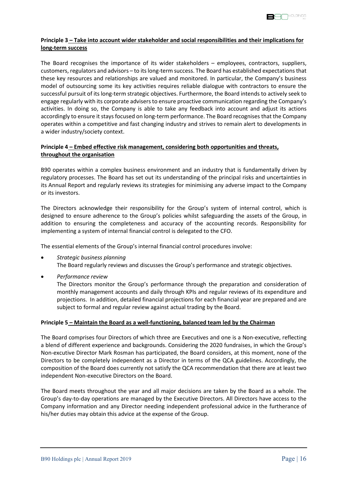

## **Principle 3 – Take into account wider stakeholder and social responsibilities and their implications for long-term success**

The Board recognises the importance of its wider stakeholders – employees, contractors, suppliers, customers, regulators and advisors – to itslong-term success. The Board has established expectationsthat these key resources and relationships are valued and monitored. In particular, the Company's business model of outsourcing some its key activities requires reliable dialogue with contractors to ensure the successful pursuit of its long-term strategic objectives. Furthermore, the Board intends to actively seek to engage regularly with its corporate advisers to ensure proactive communication regarding the Company's activities. In doing so, the Company is able to take any feedback into account and adjust its actions accordingly to ensure it stays focused on long-term performance. The Board recognises that the Company operates within a competitive and fast changing industry and strives to remain alert to developments in a wider industry/society context.

#### **Principle 4 – Embed effective risk management, considering both opportunities and threats, throughout the organisation**

B90 operates within a complex business environment and an industry that is fundamentally driven by regulatory processes. The Board has set out its understanding of the principal risks and uncertainties in its Annual Report and regularly reviews its strategies for minimising any adverse impact to the Company or its investors.

The Directors acknowledge their responsibility for the Group's system of internal control, which is designed to ensure adherence to the Group's policies whilst safeguarding the assets of the Group, in addition to ensuring the completeness and accuracy of the accounting records. Responsibility for implementing a system of internal financial control is delegated to the CFO.

The essential elements of the Group's internal financial control procedures involve:

- *Strategic business planning* The Board regularly reviews and discusses the Group's performance and strategic objectives.
- *Performance review*

The Directors monitor the Group's performance through the preparation and consideration of monthly management accounts and daily through KPIs and regular reviews of its expenditure and projections. In addition, detailed financial projections for each financial year are prepared and are subject to formal and regular review against actual trading by the Board.

#### **Principle 5 – Maintain the Board as a well-functioning, balanced team led by the Chairman**

The Board comprises four Directors of which three are Executives and one is a Non-executive, reflecting a blend of different experience and backgrounds. Considering the 2020 fundraises, in which the Group's Non-excutive Director Mark Rosman has participated, the Board considers, at this moment, none of the Directors to be completely independent as a Director in terms of the QCA guidelines. Accordingly, the composition of the Board does currently not satisfy the QCA recommendation that there are at least two independent Non-executive Directors on the Board.

The Board meets throughout the year and all major decisions are taken by the Board as a whole. The Group's day-to-day operations are managed by the Executive Directors. All Directors have access to the Company information and any Director needing independent professional advice in the furtherance of his/her duties may obtain this advice at the expense of the Group.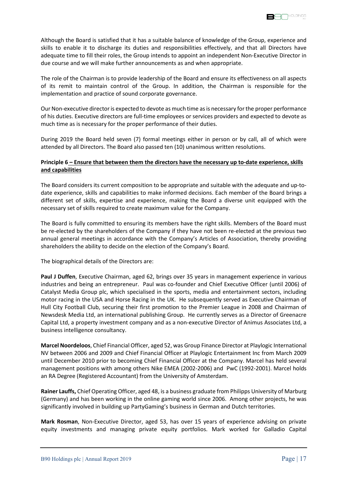Although the Board is satisfied that it has a suitable balance of knowledge of the Group, experience and skills to enable it to discharge its duties and responsibilities effectively, and that all Directors have adequate time to fill their roles, the Group intends to appoint an independent Non-Executive Director in due course and we will make further announcements as and when appropriate.

The role of the Chairman is to provide leadership of the Board and ensure its effectiveness on all aspects of its remit to maintain control of the Group. In addition, the Chairman is responsible for the implementation and practice of sound corporate governance.

Our Non-executive directoris expected to devote as much time asis necessary forthe proper performance of his duties. Executive directors are full-time employees or services providers and expected to devote as much time as is necessary for the proper performance of their duties.

During 2019 the Board held seven (7) formal meetings either in person or by call, all of which were attended by all Directors. The Board also passed ten (10) unanimous written resolutions.

#### **Principle 6 – Ensure that between them the directors have the necessary up to-date experience, skills and capabilities**

The Board considers its current composition to be appropriate and suitable with the adequate and up-todate experience, skills and capabilities to make informed decisions. Each member of the Board brings a different set of skills, expertise and experience, making the Board a diverse unit equipped with the necessary set of skills required to create maximum value for the Company.

The Board is fully committed to ensuring its members have the right skills. Members of the Board must be re-elected by the shareholders of the Company if they have not been re-elected at the previous two annual general meetings in accordance with the Company's Articles of Association, thereby providing shareholders the ability to decide on the election of the Company's Board.

The biographical details of the Directors are:

**Paul J Duffen**, Executive Chairman, aged 62, brings over 35 years in management experience in various industries and being an entrepreneur. Paul was co-founder and Chief Executive Officer (until 2006) of Catalyst Media Group plc, which specialised in the sports, media and entertainment sectors, including motor racing in the USA and Horse Racing in the UK. He subsequently served as Executive Chairman of Hull City Football Club, securing their first promotion to the Premier League in 2008 and Chairman of Newsdesk Media Ltd, an international publishing Group. He currently serves as a Director of Greenacre Capital Ltd, a property investment company and as a non-executive Director of Animus Associates Ltd, a business intelligence consultancy.

**Marcel Noordeloos**, Chief Financial Officer, aged 52, was Group Finance Director at Playlogic International NV between 2006 and 2009 and Chief Financial Officer at Playlogic Entertainment Inc from March 2009 until December 2010 prior to becoming Chief Financial Officer at the Company. Marcel has held several management positions with among others Nike EMEA (2002-2006) and PwC (1992-2001). Marcel holds an RA Degree (Registered Accountant) from the University of Amsterdam.

**Rainer Lauffs,** Chief Operating Officer, aged 48, is a business graduate from Philipps University of Marburg (Germany) and has been working in the online gaming world since 2006. Among other projects, he was significantly involved in building up PartyGaming's business in German and Dutch territories.

**Mark Rosman**, Non-Executive Director, aged 53, has over 15 years of experience advising on private equity investments and managing private equity portfolios. Mark worked for Galladio Capital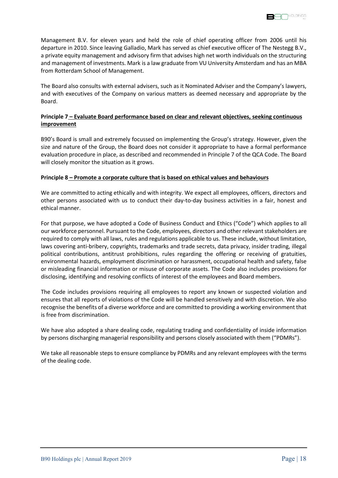

Management B.V. for eleven years and held the role of chief operating officer from 2006 until his departure in 2010. Since leaving Galladio, Mark has served as chief executive officer of The Nestegg B.V., a private equity management and advisory firm that advises high net worth individuals on the structuring and management of investments. Mark is a law graduate from VU University Amsterdam and has an MBA from Rotterdam School of Management.

The Board also consults with external advisers, such as it Nominated Adviser and the Company's lawyers, and with executives of the Company on various matters as deemed necessary and appropriate by the Board.

#### **Principle 7 – Evaluate Board performance based on clear and relevant objectives, seeking continuous improvement**

B90's Board is small and extremely focussed on implementing the Group's strategy. However, given the size and nature of the Group, the Board does not consider it appropriate to have a formal performance evaluation procedure in place, as described and recommended in Principle 7 of the QCA Code. The Board will closely monitor the situation as it grows.

#### **Principle 8 – Promote a corporate culture that is based on ethical values and behaviours**

We are committed to acting ethically and with integrity. We expect all employees, officers, directors and other persons associated with us to conduct their day-to-day business activities in a fair, honest and ethical manner.

For that purpose, we have adopted a Code of Business Conduct and Ethics ("Code") which applies to all our workforce personnel. Pursuant to the Code, employees, directors and other relevantstakeholders are required to comply with all laws, rules and regulations applicable to us. These include, without limitation, laws covering anti-bribery, copyrights, trademarks and trade secrets, data privacy, insider trading, illegal political contributions, antitrust prohibitions, rules regarding the offering or receiving of gratuities, environmental hazards, employment discrimination or harassment, occupational health and safety, false or misleading financial information or misuse of corporate assets. The Code also includes provisions for disclosing, identifying and resolving conflicts of interest of the employees and Board members.

The Code includes provisions requiring all employees to report any known or suspected violation and ensures that all reports of violations of the Code will be handled sensitively and with discretion. We also recognise the benefits of a diverse workforce and are committed to providing a working environment that is free from discrimination.

We have also adopted a share dealing code, regulating trading and confidentiality of inside information by persons discharging managerial responsibility and persons closely associated with them ("PDMRs").

We take all reasonable steps to ensure compliance by PDMRs and any relevant employees with the terms of the dealing code.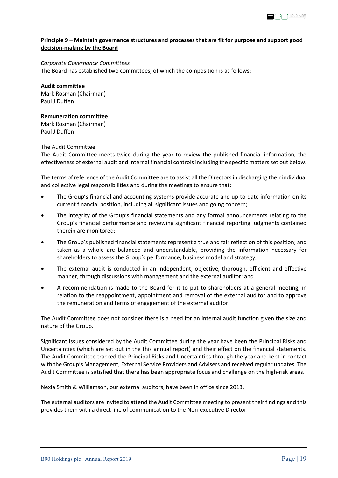#### **Principle 9 – Maintain governance structures and processes that are fit for purpose and support good decision-making by the Board**

#### *Corporate Governance Committees*

The Board has established two committees, of which the composition is as follows:

**Audit committee** Mark Rosman (Chairman) Paul J Duffen

#### **Remuneration committee**

Mark Rosman (Chairman) Paul J Duffen

#### The Audit Committee

The Audit Committee meets twice during the year to review the published financial information, the effectiveness of external audit and internal financial controls including the specific matters set out below.

The terms of reference of the Audit Committee are to assist all the Directors in discharging their individual and collective legal responsibilities and during the meetings to ensure that:

- The Group's financial and accounting systems provide accurate and up-to-date information on its current financial position, including all significant issues and going concern;
- The integrity of the Group's financial statements and any formal announcements relating to the Group's financial performance and reviewing significant financial reporting judgments contained therein are monitored;
- The Group's published financial statements represent a true and fair reflection of this position; and taken as a whole are balanced and understandable, providing the information necessary for shareholders to assess the Group's performance, business model and strategy;
- The external audit is conducted in an independent, objective, thorough, efficient and effective manner, through discussions with management and the external auditor; and
- A recommendation is made to the Board for it to put to shareholders at a general meeting, in relation to the reappointment, appointment and removal of the external auditor and to approve the remuneration and terms of engagement of the external auditor.

The Audit Committee does not consider there is a need for an internal audit function given the size and nature of the Group.

Significant issues considered by the Audit Committee during the year have been the Principal Risks and Uncertainties (which are set out in the this annual report) and their effect on the financial statements. The Audit Committee tracked the Principal Risks and Uncertainties through the year and kept in contact with the Group's Management, External Service Providers and Advisers and received regular updates. The Audit Committee is satisfied that there has been appropriate focus and challenge on the high-risk areas.

Nexia Smith & Williamson, our external auditors, have been in office since 2013.

The external auditors are invited to attend the Audit Committee meeting to present their findings and this provides them with a direct line of communication to the Non-executive Director.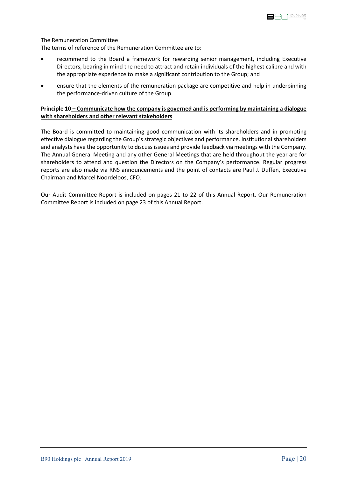

#### The Remuneration Committee

The terms of reference of the Remuneration Committee are to:

- recommend to the Board a framework for rewarding senior management, including Executive Directors, bearing in mind the need to attract and retain individuals of the highest calibre and with the appropriate experience to make a significant contribution to the Group; and
- ensure that the elements of the remuneration package are competitive and help in underpinning the performance-driven culture of the Group.

#### **Principle 10 – Communicate how the company is governed and is performing by maintaining a dialogue with shareholders and other relevant stakeholders**

The Board is committed to maintaining good communication with its shareholders and in promoting effective dialogue regarding the Group's strategic objectives and performance. Institutional shareholders and analysts have the opportunity to discuss issues and provide feedback via meetings with the Company. The Annual General Meeting and any other General Meetings that are held throughout the year are for shareholders to attend and question the Directors on the Company's performance. Regular progress reports are also made via RNS announcements and the point of contacts are Paul J. Duffen, Executive Chairman and Marcel Noordeloos, CFO.

Our Audit Committee Report is included on pages 21 to 22 of this Annual Report. Our Remuneration Committee Report is included on page 23 of this Annual Report.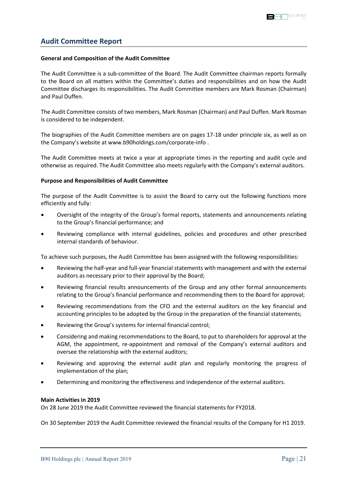# **Audit Committee Report**

#### **General and Composition of the Audit Committee**

The Audit Committee is a sub-committee of the Board. The Audit Committee chairman reports formally to the Board on all matters within the Committee's duties and responsibilities and on how the Audit Committee discharges its responsibilities. The Audit Committee members are Mark Rosman (Chairman) and Paul Duffen.

The Audit Committee consists of two members, Mark Rosman (Chairman) and Paul Duffen. Mark Rosman is considered to be independent.

The biographies of the Audit Committee members are on pages 17-18 under principle six, as well as on the Company's website at www.b90holdings.com/corporate-info .

The Audit Committee meets at twice a year at appropriate times in the reporting and audit cycle and otherwise as required. The Audit Committee also meets regularly with the Company's external auditors.

#### **Purpose and Responsibilities of Audit Committee**

The purpose of the Audit Committee is to assist the Board to carry out the following functions more efficiently and fully:

- Oversight of the integrity of the Group's formal reports, statements and announcements relating to the Group's financial performance; and
- Reviewing compliance with internal guidelines, policies and procedures and other prescribed internal standards of behaviour.

To achieve such purposes, the Audit Committee has been assigned with the following responsibilities:

- Reviewing the half-year and full-year financial statements with management and with the external auditors as necessary prior to their approval by the Board;
- Reviewing financial results announcements of the Group and any other formal announcements relating to the Group's financial performance and recommending them to the Board for approval;
- Reviewing recommendations from the CFO and the external auditors on the key financial and accounting principles to be adopted by the Group in the preparation of the financial statements;
- Reviewing the Group's systems for internal financial control;
- Considering and making recommendations to the Board, to put to shareholders for approval at the AGM, the appointment, re-appointment and removal of the Company's external auditors and oversee the relationship with the external auditors;
- Reviewing and approving the external audit plan and regularly monitoring the progress of implementation of the plan;
- Determining and monitoring the effectiveness and independence of the external auditors.

#### **Main Activities in 2019**

On 28 June 2019 the Audit Committee reviewed the financial statements for FY2018.

On 30 September 2019 the Audit Committee reviewed the financial results of the Company for H1 2019.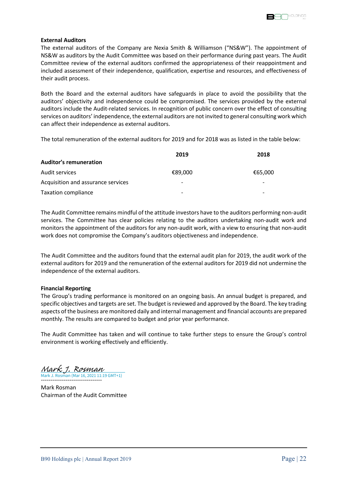#### **External Auditors**

The external auditors of the Company are Nexia Smith & Williamson ("NS&W"). The appointment of NS&W as auditors by the Audit Committee was based on their performance during past years. The Audit Committee review of the external auditors confirmed the appropriateness of their reappointment and included assessment of their independence, qualification, expertise and resources, and effectiveness of their audit process.

Both the Board and the external auditors have safeguards in place to avoid the possibility that the auditors' objectivity and independence could be compromised. The services provided by the external auditors include the Audit-related services. In recognition of public concern over the effect of consulting services on auditors' independence, the external auditors are not invited to general consulting work which can affect their independence as external auditors.

The total remuneration of the external auditors for 2019 and for 2018 was as listed in the table below:

|                                    | 2019    | 2018    |
|------------------------------------|---------|---------|
| <b>Auditor's remuneration</b>      |         |         |
| Audit services                     | €89,000 | €65,000 |
| Acquisition and assurance services | -       |         |
| Taxation compliance                | -       |         |

The Audit Committee remains mindful of the attitude investors have to the auditors performing non-audit services. The Committee has clear policies relating to the auditors undertaking non-audit work and monitors the appointment of the auditors for any non-audit work, with a view to ensuring that non-audit work does not compromise the Company's auditors objectiveness and independence.

The Audit Committee and the auditors found that the external audit plan for 2019, the audit work of the external auditors for 2019 and the remuneration of the external auditors for 2019 did not undermine the independence of the external auditors.

#### **Financial Reporting**

The Group's trading performance is monitored on an ongoing basis. An annual budget is prepared, and specific objectives and targets are set. The budget is reviewed and approved by the Board. The key trading aspects of the business are monitored daily and internal management and financial accounts are prepared monthly. The results are compared to budget and prior year performance.

The Audit Committee has taken and will continue to take further steps to ensure the Group's control environment is working effectively and efficiently.

-------------------------------- Mark J. Rosman (Mar 16, 2021 11:19 GMT+1) [Mark J. Rosman](https://smithandwilliamson.eu1.echosign.com/verifier?tx=CBJCHBCAABAAT4kfSQ-rqUDyBDbmtyDKb0lUyDNnhkqR)

Mark Rosman Chairman of the Audit Committee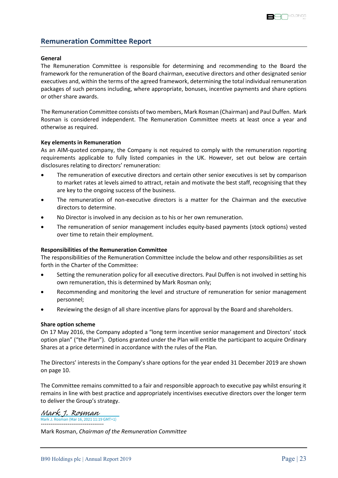# **Remuneration Committee Report**

#### **General**

The Remuneration Committee is responsible for determining and recommending to the Board the framework for the remuneration of the Board chairman, executive directors and other designated senior executives and, within the terms of the agreed framework, determining the total individual remuneration packages of such persons including, where appropriate, bonuses, incentive payments and share options or other share awards.

The Remuneration Committee consists of two members, Mark Rosman (Chairman) and Paul Duffen. Mark Rosman is considered independent. The Remuneration Committee meets at least once a year and otherwise as required.

#### **Key elements in Remuneration**

As an AIM-quoted company, the Company is not required to comply with the remuneration reporting requirements applicable to fully listed companies in the UK. However, set out below are certain disclosures relating to directors' remuneration:

- The remuneration of executive directors and certain other senior executives is set by comparison to market rates at levels aimed to attract, retain and motivate the best staff, recognising that they are key to the ongoing success of the business.
- The remuneration of non-executive directors is a matter for the Chairman and the executive directors to determine.
- No Director is involved in any decision as to his or her own remuneration.
- The remuneration of senior management includes equity-based payments (stock options) vested over time to retain their employment.

#### **Responsibilities of the Remuneration Committee**

The responsibilities of the Remuneration Committee include the below and other responsibilities as set forth in the Charter of the Committee:

- Setting the remuneration policy for all executive directors. Paul Duffen is not involved in setting his own remuneration, this is determined by Mark Rosman only;
- Recommending and monitoring the level and structure of remuneration for senior management personnel;
- Reviewing the design of all share incentive plans for approval by the Board and shareholders.

#### **Share option scheme**

On 17 May 2016, the Company adopted a "long term incentive senior management and Directors' stock option plan" ("the Plan"). Options granted under the Plan will entitle the participant to acquire Ordinary Shares at a price determined in accordance with the rules of the Plan.

The Directors' interests in the Company's share options for the year ended 31 December 2019 are shown on page 10.

The Committee remains committed to a fair and responsible approach to executive pay whilst ensuring it remains in line with best practice and appropriately incentivises executive directors over the longer term to deliver the Group's strategy.

#### [Mark J. Rosman](https://smithandwilliamson.eu1.echosign.com/verifier?tx=CBJCHBCAABAAT4kfSQ-rqUDyBDbmtyDKb0lUyDNnhkqR)

--------------------------------- Mark J. Rosman (Mar 16, 2021 11:19 GMT+1)

Mark Rosman, *Chairman of the Remuneration Committee*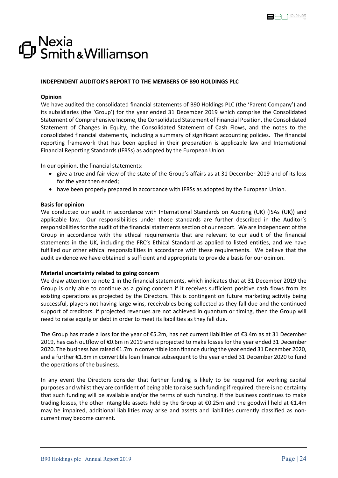# 日 Nexia<br>4D Smith & Williamson

#### **INDEPENDENT AUDITOR'S REPORT TO THE MEMBERS OF B90 HOLDINGS PLC**

#### **Opinion**

We have audited the consolidated financial statements of B90 Holdings PLC (the 'Parent Company') and its subsidiaries (the 'Group') for the year ended 31 December 2019 which comprise the Consolidated Statement of Comprehensive Income, the Consolidated Statement of Financial Position, the Consolidated Statement of Changes in Equity, the Consolidated Statement of Cash Flows, and the notes to the consolidated financial statements, including a summary of significant accounting policies. The financial reporting framework that has been applied in their preparation is applicable law and International Financial Reporting Standards (IFRSs) as adopted by the European Union.

In our opinion, the financial statements:

- give a true and fair view of the state of the Group's affairs as at 31 December 2019 and of its loss for the year then ended;
- have been properly prepared in accordance with IFRSs as adopted by the European Union.

#### **Basis for opinion**

We conducted our audit in accordance with International Standards on Auditing (UK) (ISAs (UK)) and applicable law. Our responsibilities under those standards are further described in the Auditor's responsibilities for the audit of the financial statements section of our report. We are independent of the Group in accordance with the ethical requirements that are relevant to our audit of the financial statements in the UK, including the FRC's Ethical Standard as applied to listed entities, and we have fulfilled our other ethical responsibilities in accordance with these requirements. We believe that the audit evidence we have obtained is sufficient and appropriate to provide a basis for our opinion.

#### **Material uncertainty related to going concern**

We draw attention to note 1 in the financial statements, which indicates that at 31 December 2019 the Group is only able to continue as a going concern if it receives sufficient positive cash flows from its existing operations as projected by the Directors. This is contingent on future marketing activity being successful, players not having large wins, receivables being collected as they fall due and the continued support of creditors. If projected revenues are not achieved in quantum or timing, then the Group will need to raise equity or debt in order to meet its liabilities as they fall due.

The Group has made a loss for the year of €5.2m, has net current liabilities of €3.4m as at 31 December 2019, has cash outflow of €0.6m in 2019 and is projected to make losses for the year ended 31 December 2020. The business has raised €1.7m in convertible loan finance during the year ended 31 December 2020, and a further €1.8m in convertible loan finance subsequent to the year ended 31 December 2020 to fund the operations of the business.

In any event the Directors consider that further funding is likely to be required for working capital purposes and whilst they are confident of being able to raise such funding if required, there is no certainty that such funding will be available and/or the terms of such funding. If the business continues to make trading losses, the other intangible assets held by the Group at €0.25m and the goodwill held at €1.4m may be impaired, additional liabilities may arise and assets and liabilities currently classified as noncurrent may become current.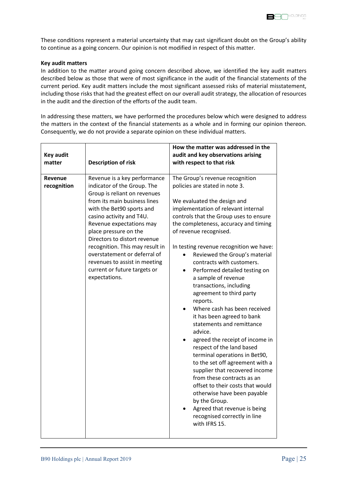

These conditions represent a material uncertainty that may cast significant doubt on the Group's ability to continue as a going concern. Our opinion is not modified in respect of this matter.

#### **Key audit matters**

In addition to the matter around going concern described above, we identified the key audit matters described below as those that were of most significance in the audit of the financial statements of the current period. Key audit matters include the most significant assessed risks of material misstatement, including those risks that had the greatest effect on our overall audit strategy, the allocation of resources in the audit and the direction of the efforts of the audit team.

In addressing these matters, we have performed the procedures below which were designed to address the matters in the context of the financial statements as a whole and in forming our opinion thereon. Consequently, we do not provide a separate opinion on these individual matters.

| <b>Key audit</b><br>matter    | <b>Description of risk</b>                                                                                                                                                                                                                                                                                                                                                                                                     | How the matter was addressed in the<br>audit and key observations arising<br>with respect to that risk                                                                                                                                                                                                                                                                                                                                                                                                                                                                                                                                                                                                                                                                                                                                                                                                       |  |  |  |
|-------------------------------|--------------------------------------------------------------------------------------------------------------------------------------------------------------------------------------------------------------------------------------------------------------------------------------------------------------------------------------------------------------------------------------------------------------------------------|--------------------------------------------------------------------------------------------------------------------------------------------------------------------------------------------------------------------------------------------------------------------------------------------------------------------------------------------------------------------------------------------------------------------------------------------------------------------------------------------------------------------------------------------------------------------------------------------------------------------------------------------------------------------------------------------------------------------------------------------------------------------------------------------------------------------------------------------------------------------------------------------------------------|--|--|--|
| <b>Revenue</b><br>recognition | Revenue is a key performance<br>indicator of the Group. The<br>Group is reliant on revenues<br>from its main business lines<br>with the Bet90 sports and<br>casino activity and T4U.<br>Revenue expectations may<br>place pressure on the<br>Directors to distort revenue<br>recognition. This may result in<br>overstatement or deferral of<br>revenues to assist in meeting<br>current or future targets or<br>expectations. | The Group's revenue recognition<br>policies are stated in note 3.<br>We evaluated the design and<br>implementation of relevant internal<br>controls that the Group uses to ensure<br>the completeness, accuracy and timing<br>of revenue recognised.<br>In testing revenue recognition we have:<br>Reviewed the Group's material<br>$\bullet$<br>contracts with customers.<br>Performed detailed testing on<br>$\bullet$<br>a sample of revenue<br>transactions, including<br>agreement to third party<br>reports.<br>Where cash has been received<br>$\bullet$<br>it has been agreed to bank<br>statements and remittance<br>advice.<br>agreed the receipt of income in<br>respect of the land based<br>terminal operations in Bet90,<br>to the set off agreement with a<br>supplier that recovered income<br>from these contracts as an<br>offset to their costs that would<br>otherwise have been payable |  |  |  |
|                               |                                                                                                                                                                                                                                                                                                                                                                                                                                | by the Group.<br>Agreed that revenue is being<br>recognised correctly in line<br>with IFRS 15.                                                                                                                                                                                                                                                                                                                                                                                                                                                                                                                                                                                                                                                                                                                                                                                                               |  |  |  |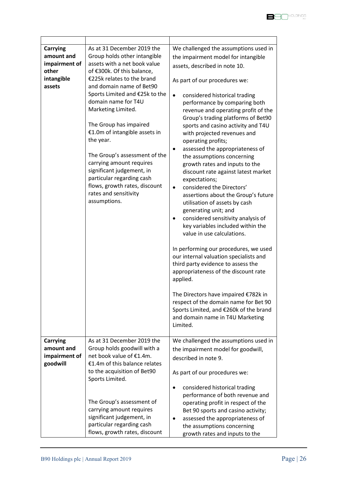

| <b>Carrying</b><br>amount and<br>impairment of<br>other<br>intangible<br>assets | As at 31 December 2019 the<br>Group holds other intangible<br>assets with a net book value<br>of €300k. Of this balance,<br>€225k relates to the brand<br>and domain name of Bet90<br>Sports Limited and €25k to the<br>domain name for T4U<br>Marketing Limited.<br>The Group has impaired<br>€1.0m of intangible assets in<br>the year.<br>The Group's assessment of the<br>carrying amount requires<br>significant judgement, in<br>particular regarding cash<br>flows, growth rates, discount<br>rates and sensitivity<br>assumptions. | We challenged the assumptions used in<br>the impairment model for intangible<br>assets, described in note 10.<br>As part of our procedures we:<br>considered historical trading<br>$\bullet$<br>performance by comparing both<br>revenue and operating profit of the<br>Group's trading platforms of Bet90<br>sports and casino activity and T4U<br>with projected revenues and<br>operating profits;<br>assessed the appropriateness of<br>٠<br>the assumptions concerning<br>growth rates and inputs to the<br>discount rate against latest market<br>expectations;<br>considered the Directors'<br>assertions about the Group's future<br>utilisation of assets by cash<br>generating unit; and<br>considered sensitivity analysis of<br>key variables included within the<br>value in use calculations.<br>In performing our procedures, we used<br>our internal valuation specialists and<br>third party evidence to assess the<br>appropriateness of the discount rate<br>applied.<br>The Directors have impaired €782k in<br>respect of the domain name for Bet 90<br>Sports Limited, and €260k of the brand<br>and domain name in T4U Marketing<br>Limited. |
|---------------------------------------------------------------------------------|--------------------------------------------------------------------------------------------------------------------------------------------------------------------------------------------------------------------------------------------------------------------------------------------------------------------------------------------------------------------------------------------------------------------------------------------------------------------------------------------------------------------------------------------|---------------------------------------------------------------------------------------------------------------------------------------------------------------------------------------------------------------------------------------------------------------------------------------------------------------------------------------------------------------------------------------------------------------------------------------------------------------------------------------------------------------------------------------------------------------------------------------------------------------------------------------------------------------------------------------------------------------------------------------------------------------------------------------------------------------------------------------------------------------------------------------------------------------------------------------------------------------------------------------------------------------------------------------------------------------------------------------------------------------------------------------------------------------------|
| <b>Carrying</b><br>amount and<br>impairment of<br>goodwill                      | As at 31 December 2019 the<br>Group holds goodwill with a<br>net book value of €1.4m.<br>€1.4m of this balance relates<br>to the acquisition of Bet90<br>Sports Limited.<br>The Group's assessment of<br>carrying amount requires<br>significant judgement, in<br>particular regarding cash<br>flows, growth rates, discount                                                                                                                                                                                                               | We challenged the assumptions used in<br>the impairment model for goodwill,<br>described in note 9.<br>As part of our procedures we:<br>considered historical trading<br>performance of both revenue and<br>operating profit in respect of the<br>Bet 90 sports and casino activity;<br>assessed the appropriateness of<br>the assumptions concerning<br>growth rates and inputs to the                                                                                                                                                                                                                                                                                                                                                                                                                                                                                                                                                                                                                                                                                                                                                                             |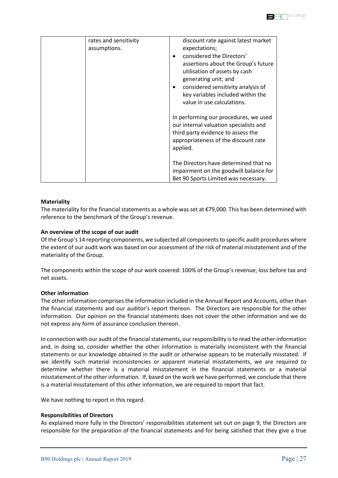| rates and sensitivity<br>assumptions. | discount rate against latest market<br>expectations;<br>considered the Directors'<br>assertions about the Group's future<br>utilisation of assets by cash<br>generating unit; and<br>considered sensitivity analysis of<br>key variables included within the<br>value in use calculations.<br>In performing our procedures, we used<br>our internal valuation specialists and<br>third party evidence to assess the<br>appropriateness of the discount rate<br>applied. |
|---------------------------------------|-------------------------------------------------------------------------------------------------------------------------------------------------------------------------------------------------------------------------------------------------------------------------------------------------------------------------------------------------------------------------------------------------------------------------------------------------------------------------|
|                                       | The Directors have determined that no<br>impairment on the goodwill balance for<br>Bet 90 Sports Limited was necessary.                                                                                                                                                                                                                                                                                                                                                 |

#### **Materiality**

The materiality for the financial statements as a whole was set at €79,000. This has been determined with reference to the benchmark of the Group's revenue.

#### **An overview of the scope of our audit**

Of the Group's 14 reporting components, we subjected all components to specific audit procedures where the extent of our audit work was based on our assessment of the risk of material misstatement and of the materiality of the Group.

The components within the scope of our work covered: 100% of the Group's revenue, loss before tax and net assets.

#### **Other information**

The other information comprises the information included in the Annual Report and Accounts, other than the financial statements and our auditor's report thereon. The Directors are responsible for the other information. Our opinion on the financial statements does not cover the other information and we do not express any form of assurance conclusion thereon.

In connection with our audit of the financial statements, our responsibility is to read the other information and, in doing so, consider whether the other information is materially inconsistent with the financial statements or our knowledge obtained in the audit or otherwise appears to be materially misstated. If we identify such material inconsistencies or apparent material misstatements, we are required to determine whether there is a material misstatement in the financial statements or a material misstatement of the other information. If, based on the work we have performed, we conclude that there is a material misstatement of this other information, we are required to report that fact.

We have nothing to report in this regard.

#### **Responsibilities of Directors**

As explained more fully in the Directors' responsibilities statement set out on page 9, the Directors are responsible for the preparation of the financial statements and for being satisfied that they give a true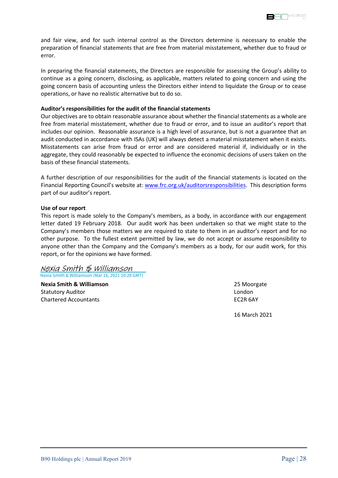and fair view, and for such internal control as the Directors determine is necessary to enable the preparation of financial statements that are free from material misstatement, whether due to fraud or error.

In preparing the financial statements, the Directors are responsible for assessing the Group's ability to continue as a going concern, disclosing, as applicable, matters related to going concern and using the going concern basis of accounting unless the Directors either intend to liquidate the Group or to cease operations, or have no realistic alternative but to do so.

#### **Auditor's responsibilities for the audit of the financial statements**

Our objectives are to obtain reasonable assurance about whether the financial statements as a whole are free from material misstatement, whether due to fraud or error, and to issue an auditor's report that includes our opinion. Reasonable assurance is a high level of assurance, but is not a guarantee that an audit conducted in accordance with ISAs (UK) will always detect a material misstatement when it exists. Misstatements can arise from fraud or error and are considered material if, individually or in the aggregate, they could reasonably be expected to influence the economic decisions of users taken on the basis of these financial statements.

A further description of our responsibilities for the audit of the financial statements is located on the Financial Reporting Council's website at: [www.frc.org.uk/auditorsresponsibilities.](http://www.frc.org.uk/auditorsresponsibilities) This description forms part of our auditor's report.

#### **Use of our report**

This report is made solely to the Company's members, as a body, in accordance with our engagement letter dated 19 February 2018. Our audit work has been undertaken so that we might state to the Company's members those matters we are required to state to them in an auditor's report and for no other purpose. To the fullest extent permitted by law, we do not accept or assume responsibility to anyone other than the Company and the Company's members as a body, for our audit work, for this report, or for the opinions we have formed.

#### Nexia Smith & Williamson (Mar 16, 2021 10:28 GMT) [Nexia Smith & Williamson](https://smithandwilliamson.eu1.echosign.com/verifier?tx=CBJCHBCAABAAT4kfSQ-rqUDyBDbmtyDKb0lUyDNnhkqR)

**Nexia Smith & Williamson** 25 Moorgate Statutory Auditor **London London** Chartered Accountants EC2R 6AY

16 March 2021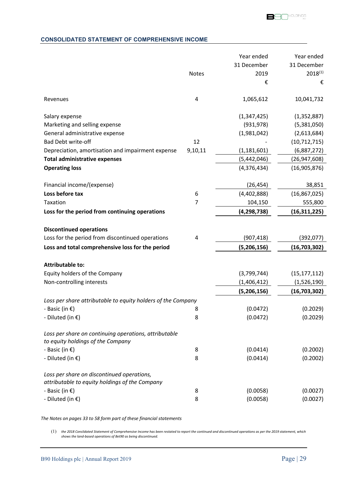

#### **CONSOLIDATED STATEMENT OF COMPREHENSIVE INCOME**

|                                                                                            |              | Year ended    | Year ended     |
|--------------------------------------------------------------------------------------------|--------------|---------------|----------------|
|                                                                                            |              | 31 December   | 31 December    |
|                                                                                            | <b>Notes</b> | 2019          | $2018^{(1)}$   |
|                                                                                            |              | €             | €              |
| Revenues                                                                                   | 4            | 1,065,612     | 10,041,732     |
| Salary expense                                                                             |              | (1,347,425)   | (1,352,887)    |
| Marketing and selling expense                                                              |              | (931, 978)    | (5,381,050)    |
| General administrative expense                                                             |              | (1,981,042)   | (2,613,684)    |
| <b>Bad Debt write-off</b>                                                                  | 12           |               | (10, 712, 715) |
| Depreciation, amortisation and impairment expense                                          | 9,10,11      | (1, 181, 601) | (6,887,272)    |
| <b>Total administrative expenses</b>                                                       |              | (5,442,046)   | (26, 947, 608) |
| <b>Operating loss</b>                                                                      |              | (4,376,434)   | (16,905,876)   |
| Financial income/(expense)                                                                 |              | (26, 454)     | 38,851         |
| Loss before tax                                                                            | 6            | (4,402,888)   | (16, 867, 025) |
| Taxation                                                                                   | 7            | 104,150       | 555,800        |
| Loss for the period from continuing operations                                             |              | (4, 298, 738) | (16, 311, 225) |
| <b>Discontinued operations</b>                                                             |              |               |                |
| Loss for the period from discontinued operations                                           | 4            | (907, 418)    | (392, 077)     |
| Loss and total comprehensive loss for the period                                           |              | (5,206,156)   | (16, 703, 302) |
| <b>Attributable to:</b>                                                                    |              |               |                |
| Equity holders of the Company                                                              |              | (3,799,744)   | (15, 177, 112) |
| Non-controlling interests                                                                  |              | (1,406,412)   | (1,526,190)    |
|                                                                                            |              | (5,206,156)   | (16, 703, 302) |
| Loss per share attributable to equity holders of the Company                               |              |               |                |
| - Basic (in €)                                                                             | 8            | (0.0472)      | (0.2029)       |
| - Diluted (in $\epsilon$ )                                                                 | 8            | (0.0472)      | (0.2029)       |
| Loss per share on continuing operations, attributable<br>to equity holdings of the Company |              |               |                |
| - Basic (in €)                                                                             | 8            | (0.0414)      | (0.2002)       |
| - Diluted (in $\epsilon$ )                                                                 | 8            | (0.0414)      | (0.2002)       |
| Loss per share on discontinued operations,                                                 |              |               |                |
| attributable to equity holdings of the Company                                             |              |               |                |
| - Basic (in €)                                                                             | 8            | (0.0058)      | (0.0027)       |
| - Diluted (in $\epsilon$ )                                                                 | 8            | (0.0058)      | (0.0027)       |

*The Notes on pages 33 to 58 form part of these financial statements*

(1) *the 2018 Conslidated Statement of Comprehensive Income has been restated to report the continued and discontinued operations as per the 2019 statement, which shows the land-based operations of Bet90 as being discontinued.*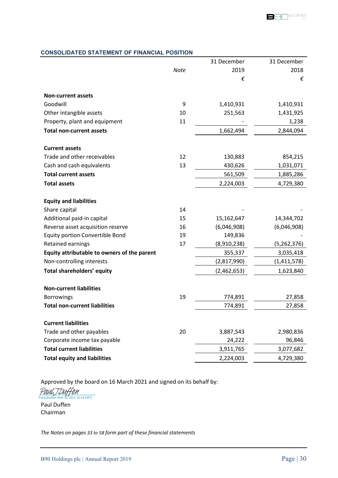

#### **CONSOLIDATED STATEMENT OF FINANCIAL POSITION**

|                                             |             | 31 December | 31 December   |
|---------------------------------------------|-------------|-------------|---------------|
|                                             | <b>Note</b> | 2019        | 2018          |
|                                             |             | €           | €             |
| <b>Non-current assets</b>                   |             |             |               |
| Goodwill                                    | 9           | 1,410,931   | 1,410,931     |
| Other intangible assets                     | 10          | 251,563     | 1,431,925     |
| Property, plant and equipment               | 11          |             | 1,238         |
| <b>Total non-current assets</b>             |             | 1,662,494   | 2,844,094     |
| <b>Current assets</b>                       |             |             |               |
| Trade and other receivables                 | 12          | 130,883     | 854,215       |
| Cash and cash equivalents                   | 13          | 430,626     | 1,031,071     |
| <b>Total current assets</b>                 |             | 561,509     | 1,885,286     |
| <b>Total assets</b>                         |             | 2,224,003   | 4,729,380     |
| <b>Equity and liabilities</b>               |             |             |               |
| Share capital                               | 14          |             |               |
| Additional paid-in capital                  | 15          | 15,162,647  | 14,344,702    |
| Reverse asset acquisition reserve           | 16          | (6,046,908) | (6,046,908)   |
| <b>Equity portion Convertible Bond</b>      | 19          | 149,836     |               |
| Retained earnings                           | 17          | (8,910,238) | (5, 262, 376) |
| Equity attributable to owners of the parent |             | 355,337     | 3,035,418     |
| Non-controlling interests                   |             | (2,817,990) | (1,411,578)   |
| Total shareholders' equity                  |             | (2,462,653) | 1,623,840     |
| <b>Non-current liabilities</b>              |             |             |               |
| <b>Borrowings</b>                           | 19          | 774,891     | 27,858        |
| <b>Total non-current liabilities</b>        |             | 774,891     | 27,858        |
| <b>Current liabilities</b>                  |             |             |               |
| Trade and other payables                    | 20          | 3,887,543   | 2,980,836     |
| Corporate income tax payable                |             | 24,222      | 96,846        |
| <b>Total current liabilities</b>            |             | 3,911,765   | 3,077,682     |
| <b>Total equity and liabilities</b>         |             | 2,224,003   | 4,729,380     |

Approved by the board on 16 March 2021 and signed on its behalf by:

Paul<br>21 10:18 GMT) [PaulJDuffen](https://smithandwilliamson.eu1.echosign.com/verifier?tx=CBJCHBCAABAAT4kfSQ-rqUDyBDbmtyDKb0lUyDNnhkqR)

Paul Duffen Chairman

*The Notes on pages 33 to 58 form part of these financial statements*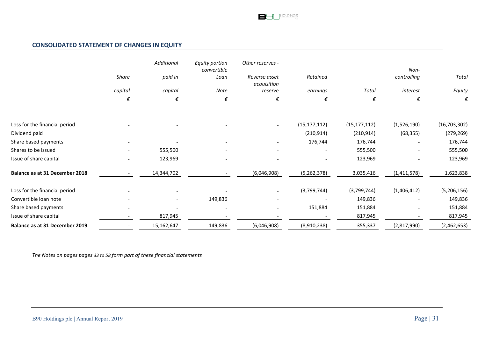

## **CONSOLIDATED STATEMENT OF CHANGES IN EQUITY**

|                                |         | Additional | Equity portion<br>convertible | Other reserves -             |                |                | Non-        |                |
|--------------------------------|---------|------------|-------------------------------|------------------------------|----------------|----------------|-------------|----------------|
|                                | Share   | paid in    | Loan                          | Reverse asset<br>acquisition | Retained       |                | controlling | Total          |
|                                | capital | capital    | Note                          | reserve                      | earnings       | Total          | interest    | Equity         |
|                                | €       | €          | €                             | €                            | €              | €              | €           | €              |
| Loss for the financial period  |         |            |                               |                              | (15, 177, 112) | (15, 177, 112) | (1,526,190) | (16, 703, 302) |
|                                |         |            |                               |                              |                |                |             |                |
| Dividend paid                  |         |            |                               | $\blacksquare$               | (210, 914)     | (210, 914)     | (68, 355)   | (279, 269)     |
| Share based payments           |         |            |                               | $\overline{\phantom{a}}$     | 176,744        | 176,744        |             | 176,744        |
| Shares to be issued            |         | 555,500    |                               |                              |                | 555,500        |             | 555,500        |
| Issue of share capital         |         | 123,969    |                               |                              |                | 123,969        |             | 123,969        |
| Balance as at 31 December 2018 |         | 14,344,702 |                               | (6,046,908)                  | (5, 262, 378)  | 3,035,416      | (1,411,578) | 1,623,838      |
| Loss for the financial period  |         |            |                               |                              | (3,799,744)    | (3,799,744)    | (1,406,412) | (5, 206, 156)  |
| Convertible loan note          |         |            | 149,836                       |                              |                | 149,836        |             | 149,836        |
| Share based payments           |         |            |                               |                              | 151,884        | 151,884        |             | 151,884        |
| Issue of share capital         |         | 817,945    |                               |                              |                | 817,945        |             | 817,945        |
| Balance as at 31 December 2019 |         | 15,162,647 | 149,836                       | (6,046,908)                  | (8,910,238)    | 355,337        | (2,817,990) | (2,462,653)    |

*The Notes on pages pages 33 to 58 form part of these financial statements*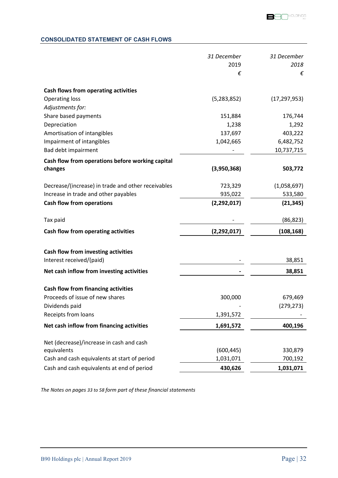

## **CONSOLIDATED STATEMENT OF CASH FLOWS**

|                                                    | 31 December | 31 December    |
|----------------------------------------------------|-------------|----------------|
|                                                    | 2019        | 2018           |
|                                                    | €           | €              |
| Cash flows from operating activities               |             |                |
| <b>Operating loss</b>                              | (5,283,852) | (17, 297, 953) |
| Adjustments for:                                   |             |                |
| Share based payments                               | 151,884     | 176,744        |
| Depreciation                                       | 1,238       | 1,292          |
| Amortisation of intangibles                        | 137,697     | 403,222        |
| Impairment of intangibles                          | 1,042,665   | 6,482,752      |
| Bad debt impairment                                |             | 10,737,715     |
| Cash flow from operations before working capital   |             |                |
| changes                                            | (3,950,368) | 503,772        |
| Decrease/(increase) in trade and other receivables | 723,329     | (1,058,697)    |
| Increase in trade and other payables               | 935,022     | 533,580        |
| <b>Cash flow from operations</b>                   | (2,292,017) | (21, 345)      |
|                                                    |             |                |
| Tax paid                                           |             | (86, 823)      |
| Cash flow from operating activities                | (2,292,017) | (108, 168)     |
| Cash flow from investing activities                |             |                |
| Interest received/(paid)                           |             | 38,851         |
| Net cash inflow from investing activities          |             | 38,851         |
|                                                    |             |                |
| <b>Cash flow from financing activities</b>         |             |                |
| Proceeds of issue of new shares                    | 300,000     | 679,469        |
| Dividends paid                                     |             | (279, 273)     |
| Receipts from loans                                | 1,391,572   |                |
| Net cash inflow from financing activities          | 1,691,572   | 400,196        |
| Net (decrease)/increase in cash and cash           |             |                |
| equivalents                                        | (600, 445)  | 330,879        |
| Cash and cash equivalents at start of period       | 1,031,071   | 700,192        |
| Cash and cash equivalents at end of period         | 430,626     | 1,031,071      |

*The Notes on pages 33 to 58 form part of these financial statements*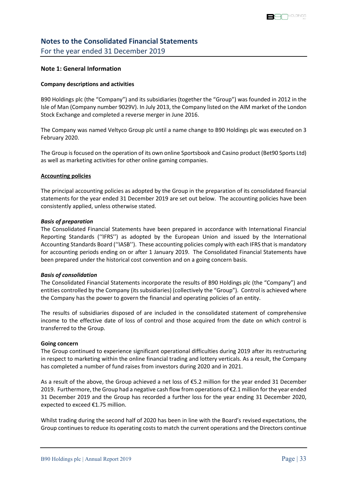

# **Notes to the Consolidated Financial Statements**

For the year ended 31 December 2019

#### **Note 1: General Information**

#### **Company descriptions and activities**

B90 Holdings plc (the "Company") and its subsidiaries (together the "Group") was founded in 2012 in the Isle of Man (Company number 9029V). In July 2013, the Company listed on the AIM market of the London Stock Exchange and completed a reverse merger in June 2016.

The Company was named Veltyco Group plc until a name change to B90 Holdings plc was executed on 3 February 2020.

The Group is focused on the operation of its own online Sportsbook and Casino product (Bet90 Sports Ltd) as well as marketing activities for other online gaming companies.

#### **Accounting policies**

The principal accounting policies as adopted by the Group in the preparation of its consolidated financial statements for the year ended 31 December 2019 are set out below. The accounting policies have been consistently applied, unless otherwise stated.

#### *Basis of preparation*

The Consolidated Financial Statements have been prepared in accordance with International Financial Reporting Standards (''IFRS'') as adopted by the European Union and issued by the International Accounting Standards Board (''IASB''). These accounting policies comply with each IFRS that is mandatory for accounting periods ending on or after 1 January 2019. The Consolidated Financial Statements have been prepared under the historical cost convention and on a going concern basis.

#### *Basis of consolidation*

The Consolidated Financial Statements incorporate the results of B90 Holdings plc (the "Company") and entities controlled by the Company (its subsidiaries) (collectively the "Group"). Control is achieved where the Company has the power to govern the financial and operating policies of an entity.

The results of subsidiaries disposed of are included in the consolidated statement of comprehensive income to the effective date of loss of control and those acquired from the date on which control is transferred to the Group.

#### **Going concern**

The Group continued to experience significant operational difficulties during 2019 after its restructuring in respect to marketing within the online financial trading and lottery verticals. As a result, the Company has completed a number of fund raises from investors during 2020 and in 2021.

As a result of the above, the Group achieved a net loss of €5.2 million for the year ended 31 December 2019. Furthermore, the Group had a negative cash flow from operations of €2.1 million for the year ended 31 December 2019 and the Group has recorded a further loss for the year ending 31 December 2020, expected to exceed €1.75 million.

Whilst trading during the second half of 2020 has been in line with the Board's revised expectations, the Group continues to reduce its operating costs to match the current operations and the Directors continue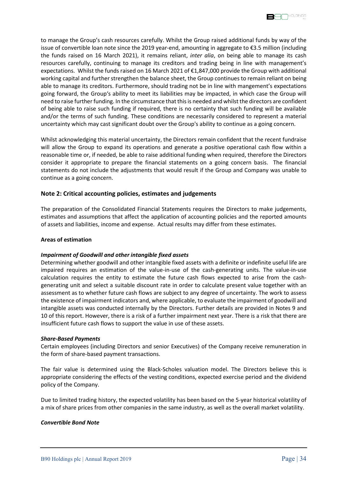to manage the Group's cash resources carefully. Whilst the Group raised additional funds by way of the issue of convertible loan note since the 2019 year-end, amounting in aggregate to €3.5 million (including the funds raised on 16 March 2021), it remains reliant, *inter alia*, on being able to manage its cash resources carefully, continuing to manage its creditors and trading being in line with management's expectations. Whilst the funds raised on 16 March 2021 of €1,847,000 provide the Group with additional working capital and further strengthen the balance sheet, the Group continues to remain reliant on being able to manage its creditors. Furthermore, should trading not be in line with mangement's expectations going forward, the Group's ability to meet its liabilities may be impacted, in which case the Group will need to raise further funding. In the circumstance that this is needed and whilst the directors are confident of being able to raise such funding if required, there is no certainty that such funding will be available and/or the terms of such funding. These conditions are necessarily considered to represent a material uncertainty which may cast significant doubt over the Group's ability to continue as a going concern.

Whilst acknowledging this material uncertainty, the Directors remain confident that the recent fundraise will allow the Group to expand its operations and generate a positive operational cash flow within a reasonable time or, if needed, be able to raise additional funding when required, therefore the Directors consider it appropriate to prepare the financial statements on a going concern basis. The financial statements do not include the adjustments that would result if the Group and Company was unable to continue as a going concern.

#### **Note 2: Critical accounting policies, estimates and judgements**

The preparation of the Consolidated Financial Statements requires the Directors to make judgements, estimates and assumptions that affect the application of accounting policies and the reported amounts of assets and liabilities, income and expense. Actual results may differ from these estimates.

#### **Areas of estimation**

#### *Impairment of Goodwill and other intangible fixed assets*

Determining whether goodwill and other intangible fixed assets with a definite or indefinite useful life are impaired requires an estimation of the value-in-use of the cash-generating units. The value-in-use calculation requires the entity to estimate the future cash flows expected to arise from the cashgenerating unit and select a suitable discount rate in order to calculate present value together with an assessment as to whether future cash flows are subject to any degree of uncertainty. The work to assess the existence of impairment indicators and, where applicable, to evaluate the impairment of goodwill and intangible assets was conducted internally by the Directors. Further details are provided in Notes 9 and 10 of this report. However, there is a risk of a further impairment next year. There is a risk that there are insufficient future cash flows to support the value in use of these assets.

#### *Share-Based Payments*

Certain employees (including Directors and senior Executives) of the Company receive remuneration in the form of share-based payment transactions.

The fair value is determined using the Black-Scholes valuation model. The Directors believe this is appropriate considering the effects of the vesting conditions, expected exercise period and the dividend policy of the Company.

Due to limited trading history, the expected volatility has been based on the 5-year historical volatility of a mix of share prices from other companies in the same industry, as well as the overall market volatility.

#### *Convertible Bond Note*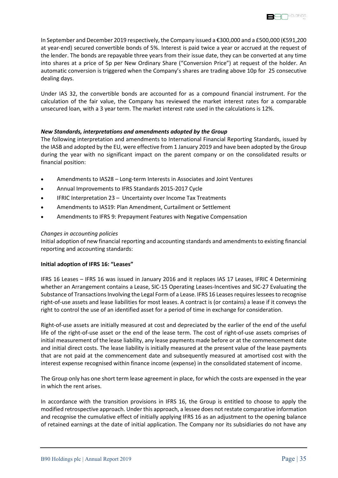In September and December 2019 respectively, the Company issued a €300,000 and a £500,000 (€591,200 at year-end) secured convertible bonds of 5%. Interest is paid twice a year or accrued at the request of the lender. The bonds are repayable three years from their issue date, they can be converted at any time into shares at a price of 5p per New Ordinary Share ("Conversion Price") at request of the holder. An automatic conversion is triggered when the Company's shares are trading above 10p for 25 consecutive dealing days.

Under IAS 32, the convertible bonds are accounted for as a compound financial instrument. For the calculation of the fair value, the Company has reviewed the market interest rates for a comparable unsecured loan, with a 3 year term. The market interest rate used in the calculations is 12%.

#### *New Standards, interpretations and amendments adopted by the Group*

The following interpretation and amendments to International Financial Reporting Standards, issued by the IASB and adopted by the EU, were effective from 1 January 2019 and have been adopted by the Group during the year with no significant impact on the parent company or on the consolidated results or financial position:

- Amendments to IAS28 Long-term Interests in Associates and Joint Ventures
- Annual Improvements to IFRS Standards 2015-2017 Cycle
- IFRIC Interpretation 23 Uncertainty over Income Tax Treatments
- Amendments to IAS19: Plan Amendment, Curtailment or Settlement
- Amendments to IFRS 9: Prepayment Features with Negative Compensation

#### *Changes in accounting policies*

Initial adoption of new financial reporting and accounting standards and amendments to existing financial reporting and accounting standards:

#### **Initial adoption of IFRS 16: "Leases"**

IFRS 16 Leases – IFRS 16 was issued in January 2016 and it replaces IAS 17 Leases, IFRIC 4 Determining whether an Arrangement contains a Lease, SIC-15 Operating Leases-Incentives and SIC-27 Evaluating the Substance of Transactions Involving the Legal Form of a Lease. IFRS 16 Leases requires lessees to recognise right-of-use assets and lease liabilities for most leases. A contract is (or contains) a lease if it conveys the right to control the use of an identified asset for a period of time in exchange for consideration.

Right-of-use assets are initially measured at cost and depreciated by the earlier of the end of the useful life of the right-of-use asset or the end of the lease term. The cost of right-of-use assets comprises of initial measurement of the lease liability, any lease payments made before or at the commencement date and initial direct costs. The lease liability is initially measured at the present value of the lease payments that are not paid at the commencement date and subsequently measured at amortised cost with the interest expense recognised within finance income (expense) in the consolidated statement of income.

The Group only has one short term lease agreement in place, for which the costs are expensed in the year in which the rent arises.

In accordance with the transition provisions in IFRS 16, the Group is entitled to choose to apply the modified retrospective approach. Underthis approach, a lessee does not restate comparative information and recognise the cumulative effect of initially applying IFRS 16 as an adjustment to the opening balance of retained earnings at the date of initial application. The Company nor its subsidiaries do not have any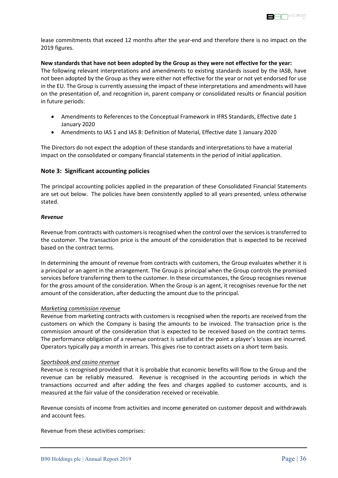

lease commitments that exceed 12 months after the year-end and therefore there is no impact on the 2019 figures.

#### **New standards that have not been adopted by the Group as they were not effective for the year:**

The following relevant interpretations and amendments to existing standards issued by the IASB, have not been adopted by the Group as they were either not effective for the year or not yet endorsed for use in the EU. The Group is currently assessing the impact of these interpretations and amendments will have on the presentation of, and recognition in, parent company or consolidated results or financial position in future periods:

- Amendments to References to the Conceptual Framework in IFRS Standards, Effective date 1 January 2020
- Amendments to IAS 1 and IAS 8: Definition of Material, Effective date 1 January 2020

The Directors do not expect the adoption of these standards and interpretations to have a material impact on the consolidated or company financial statements in the period of initial application.

#### **Note 3: Significant accounting policies**

The principal accounting policies applied in the preparation of these Consolidated Financial Statements are set out below. The policies have been consistently applied to all years presented, unless otherwise stated.

#### *Revenue*

Revenue from contracts with customers is recognised when the control over the services is transferred to the customer. The transaction price is the amount of the consideration that is expected to be received based on the contract terms.

In determining the amount of revenue from contracts with customers, the Group evaluates whether it is a principal or an agent in the arrangement. The Group is principal when the Group controls the promised services before transferring them to the customer. In these circumstances, the Group recognises revenue for the gross amount of the consideration. When the Group is an agent, it recognises revenue for the net amount of the consideration, after deducting the amount due to the principal.

#### *Marketing commission revenue*

Revenue from marketing contracts with customers is recognised when the reports are received from the customers on which the Company is basing the amounts to be invoiced. The transaction price is the commission amount of the consideration that is expected to be received based on the contract terms. The performance obligation of a revenue contract is satisfied at the point a player's losses are incurred. Operators typically pay a month in arrears. This gives rise to contract assets on a short term basis.

#### *Sportsbook and casino revenue*

Revenue is recognised provided that it is probable that economic benefits will flow to the Group and the revenue can be reliably measured. Revenue is recognised in the accounting periods in which the transactions occurred and after adding the fees and charges applied to customer accounts, and is measured at the fair value of the consideration received or receivable.

Revenue consists of income from activities and income generated on customer deposit and withdrawals and account fees.

Revenue from these activities comprises: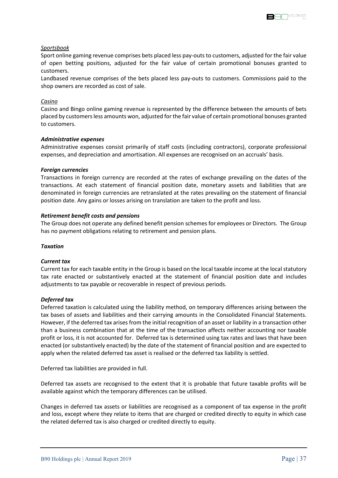

#### *Sportsbook*

Sport online gaming revenue comprises bets placed less pay-outs to customers, adjusted for the fair value of open betting positions, adjusted for the fair value of certain promotional bonuses granted to customers.

Landbased revenue comprises of the bets placed less pay-outs to customers. Commissions paid to the shop owners are recorded as cost of sale.

#### *Casino*

Casino and Bingo online gaming revenue is represented by the difference between the amounts of bets placed by customersless amounts won, adjusted forthe fair value of certain promotional bonuses granted to customers.

#### *Administrative expenses*

Administrative expenses consist primarily of staff costs (including contractors), corporate professional expenses, and depreciation and amortisation. All expenses are recognised on an accruals' basis.

#### *Foreign currencies*

Transactions in foreign currency are recorded at the rates of exchange prevailing on the dates of the transactions. At each statement of financial position date, monetary assets and liabilities that are denominated in foreign currencies are retranslated at the rates prevailing on the statement of financial position date. Any gains or losses arising on translation are taken to the profit and loss.

#### *Retirement benefit costs and pensions*

The Group does not operate any defined benefit pension schemes for employees or Directors. The Group has no payment obligations relating to retirement and pension plans.

#### *Taxation*

#### *Current tax*

Current tax for each taxable entity in the Group is based on the local taxable income at the local statutory tax rate enacted or substantively enacted at the statement of financial position date and includes adjustments to tax payable or recoverable in respect of previous periods.

#### *Deferred tax*

Deferred taxation is calculated using the liability method, on temporary differences arising between the tax bases of assets and liabilities and their carrying amounts in the Consolidated Financial Statements. However, if the deferred tax arises from the initial recognition of an asset or liability in a transaction other than a business combination that at the time of the transaction affects neither accounting nor taxable profit or loss, it is not accounted for. Deferred tax is determined using tax rates and laws that have been enacted (or substantively enacted) by the date of the statement of financial position and are expected to apply when the related deferred tax asset is realised or the deferred tax liability is settled.

Deferred tax liabilities are provided in full.

Deferred tax assets are recognised to the extent that it is probable that future taxable profits will be available against which the temporary differences can be utilised.

Changes in deferred tax assets or liabilities are recognised as a component of tax expense in the profit and loss, except where they relate to items that are charged or credited directly to equity in which case the related deferred tax is also charged or credited directly to equity.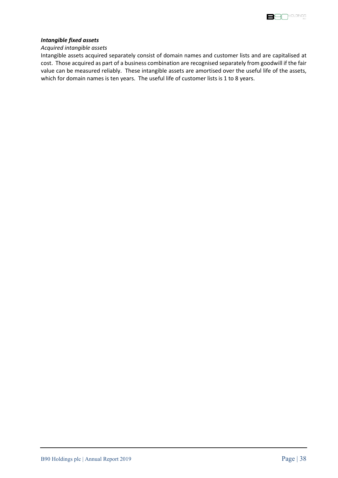

#### *Intangible fixed assets*

#### *Acquired intangible assets*

Intangible assets acquired separately consist of domain names and customer lists and are capitalised at cost. Those acquired as part of a business combination are recognised separately from goodwill if the fair value can be measured reliably. These intangible assets are amortised over the useful life of the assets, which for domain names is ten years. The useful life of customer lists is 1 to 8 years.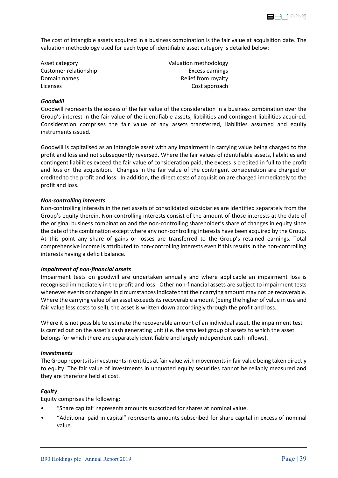The cost of intangible assets acquired in a business combination is the fair value at acquisition date. The valuation methodology used for each type of identifiable asset category is detailed below:

Customer relationship Excess earnings Domain names **Relief from royalty Domain names** Licenses Cost approach

Asset category and a set of the Valuation methodology

#### *Goodwill*

Goodwill represents the excess of the fair value of the consideration in a business combination over the Group's interest in the fair value of the identifiable assets, liabilities and contingent liabilities acquired. Consideration comprises the fair value of any assets transferred, liabilities assumed and equity instruments issued.

Goodwill is capitalised as an intangible asset with any impairment in carrying value being charged to the profit and loss and not subsequently reversed. Where the fair values of identifiable assets, liabilities and contingent liabilities exceed the fair value of consideration paid, the excess is credited in full to the profit and loss on the acquisition. Changes in the fair value of the contingent consideration are charged or credited to the profit and loss. In addition, the direct costs of acquisition are charged immediately to the profit and loss.

#### *Non-controlling interests*

Non-controlling interests in the net assets of consolidated subsidiaries are identified separately from the Group's equity therein. Non-controlling interests consist of the amount of those interests at the date of the original business combination and the non-controlling shareholder's share of changes in equity since the date of the combination except where any non-controlling interests have been acquired by the Group. At this point any share of gains or losses are transferred to the Group's retained earnings. Total comprehensive income is attributed to non-controlling interests even if this results in the non-controlling interests having a deficit balance.

#### *Impairment of non-financial assets*

Impairment tests on goodwill are undertaken annually and where applicable an impairment loss is recognised immediately in the profit and loss. Other non-financial assets are subject to impairment tests whenever events or changes in circumstances indicate that their carrying amount may not be recoverable. Where the carrying value of an asset exceeds its recoverable amount (being the higher of value in use and fair value less costs to sell), the asset is written down accordingly through the profit and loss.

Where it is not possible to estimate the recoverable amount of an individual asset, the impairment test is carried out on the asset's cash generating unit (i.e. the smallest group of assets to which the asset belongs for which there are separately identifiable and largely independent cash inflows).

#### *Investments*

The Group reports its investments in entities at fair value with movements in fair value being taken directly to equity. The fair value of investments in unquoted equity securities cannot be reliably measured and they are therefore held at cost.

#### *Equity*

Equity comprises the following:

- "Share capital" represents amounts subscribed for shares at nominal value.
- "Additional paid in capital" represents amounts subscribed for share capital in excess of nominal value.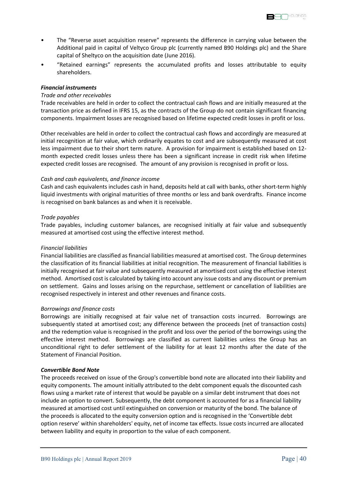

- The "Reverse asset acquisition reserve" represents the difference in carrying value between the Additional paid in capital of Veltyco Group plc (currently named B90 Holdings plc) and the Share capital of Sheltyco on the acquisition date (June 2016).
- "Retained earnings" represents the accumulated profits and losses attributable to equity shareholders.

#### *Financial instruments*

#### *Trade and other receivables*

Trade receivables are held in order to collect the contractual cash flows and are initially measured at the transaction price as defined in IFRS 15, as the contracts of the Group do not contain significant financing components. Impairment losses are recognised based on lifetime expected credit losses in profit or loss.

Other receivables are held in order to collect the contractual cash flows and accordingly are measured at initial recognition at fair value, which ordinarily equates to cost and are subsequently measured at cost less impairment due to their short term nature. A provision for impairment is established based on 12 month expected credit losses unless there has been a significant increase in credit risk when lifetime expected credit losses are recognised. The amount of any provision is recognised in profit or loss.

#### *Cash and cash equivalents, and finance income*

Cash and cash equivalents includes cash in hand, deposits held at call with banks, other short-term highly liquid investments with original maturities of three months or less and bank overdrafts. Finance income is recognised on bank balances as and when it is receivable.

#### *Trade payables*

Trade payables, including customer balances, are recognised initially at fair value and subsequently measured at amortised cost using the effective interest method.

#### *Financial liabilities*

Financial liabilities are classified as financial liabilities measured at amortised cost. The Group determines the classification of its financial liabilities at initial recognition. The measurement of financial liabilities is initially recognised at fair value and subsequently measured at amortised cost using the effective interest method. Amortised cost is calculated by taking into account any issue costs and any discount or premium on settlement. Gains and losses arising on the repurchase, settlement or cancellation of liabilities are recognised respectively in interest and other revenues and finance costs.

#### *Borrowings and finance costs*

Borrowings are initially recognised at fair value net of transaction costs incurred. Borrowings are subsequently stated at amortised cost; any difference between the proceeds (net of transaction costs) and the redemption value is recognised in the profit and loss over the period of the borrowings using the effective interest method. Borrowings are classified as current liabilities unless the Group has an unconditional right to defer settlement of the liability for at least 12 months after the date of the Statement of Financial Position.

#### *Convertible Bond Note*

The proceeds received on issue of the Group's convertible bond note are allocated into their liability and equity components. The amount initially attributed to the debt component equals the discounted cash flows using a market rate of interest that would be payable on a similar debt instrument that does not include an option to convert. Subsequently, the debt component is accounted for as a financial liability measured at amortised cost until extinguished on conversion or maturity of the bond. The balance of the proceeds is allocated to the equity conversion option and is recognised in the 'Convertible debt option reserve' within shareholders' equity, net of income tax effects. Issue costs incurred are allocated between liability and equity in proportion to the value of each component.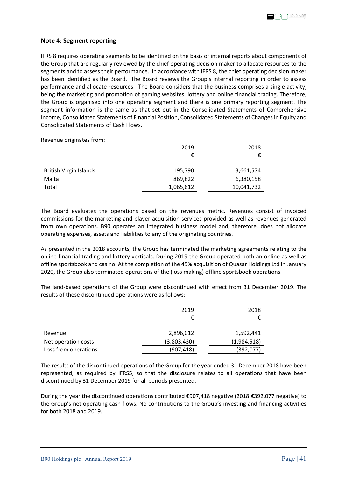

#### **Note 4: Segment reporting**

IFRS 8 requires operating segments to be identified on the basis of internal reports about components of the Group that are regularly reviewed by the chief operating decision maker to allocate resources to the segments and to assess their performance. In accordance with IFRS 8, the chief operating decision maker has been identified as the Board. The Board reviews the Group's internal reporting in order to assess performance and allocate resources. The Board considers that the business comprises a single activity, being the marketing and promotion of gaming websites, lottery and online financial trading. Therefore, the Group is organised into one operating segment and there is one primary reporting segment. The segment information is the same as that set out in the Consolidated Statements of Comprehensive Income, Consolidated Statements of Financial Position, Consolidated Statements of Changesin Equity and Consolidated Statements of Cash Flows.

Revenue originates from:

|                               | 2019      | 2018       |
|-------------------------------|-----------|------------|
|                               | €         | €          |
|                               |           |            |
| <b>British Virgin Islands</b> | 195,790   | 3,661,574  |
| Malta                         | 869,822   | 6,380,158  |
| Total                         | 1,065,612 | 10,041,732 |

The Board evaluates the operations based on the revenues metric. Revenues consist of invoiced commissions for the marketing and player acquisition services provided as well as revenues generated from own operations. B90 operates an integrated business model and, therefore, does not allocate operating expenses, assets and liabilities to any of the originating countries.

As presented in the 2018 accounts, the Group has terminated the marketing agreements relating to the online financial trading and lottery verticals. During 2019 the Group operated both an online as well as offline sportsbook and casino. At the completion of the 49% acquisition of Quasar Holdings Ltd in January 2020, the Group also terminated operations of the (loss making) offline sportsbook operations.

The land-based operations of the Group were discontinued with effect from 31 December 2019. The results of these discontinued operations were as follows:

|                      | 2019        | 2018        |
|----------------------|-------------|-------------|
|                      | €           | €           |
| Revenue              | 2,896,012   | 1,592,441   |
| Net operation costs  | (3,803,430) | (1,984,518) |
| Loss from operations | (907, 418)  | (392,077)   |

The results of the discontinued operations of the Group for the year ended 31 December 2018 have been represented, as required by IFRS5, so that the disclosure relates to all operations that have been discontinued by 31 December 2019 for all periods presented.

During the year the discontinued operations contributed €907,418 negative (2018:€392,077 negative) to the Group's net operating cash flows. No contributions to the Group's investing and financing activities for both 2018 and 2019.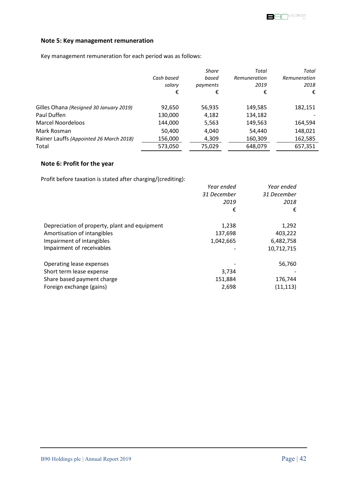

## **Note 5: Key management remuneration**

Key management remuneration for each period was as follows:

|                                         |            | <b>Share</b> | Total        | Total        |
|-----------------------------------------|------------|--------------|--------------|--------------|
|                                         | Cash based | based        | Remuneration | Remuneration |
|                                         | salary     | payments     | 2019         | 2018         |
|                                         | €          | €            | €            | €            |
| Gilles Ohana (Resigned 30 January 2019) | 92,650     | 56,935       | 149,585      | 182,151      |
| Paul Duffen                             | 130,000    | 4,182        | 134,182      |              |
| <b>Marcel Noordeloos</b>                | 144,000    | 5,563        | 149,563      | 164,594      |
| Mark Rosman                             | 50,400     | 4,040        | 54,440       | 148,021      |
| Rainer Lauffs (Appointed 26 March 2018) | 156,000    | 4,309        | 160,309      | 162,585      |
| Total                                   | 573,050    | 75,029       | 648,079      | 657,351      |

# **Note 6: Profit for the year**

Profit before taxation is stated after charging/(crediting):

|                                                                                                                                        | Year ended<br>31 December<br>2019<br>€ | Year ended<br>31 December<br>2018<br>€      |
|----------------------------------------------------------------------------------------------------------------------------------------|----------------------------------------|---------------------------------------------|
| Depreciation of property, plant and equipment<br>Amortisation of intangibles<br>Impairment of intangibles<br>Impairment of receivables | 1,238<br>137,698<br>1,042,665          | 1,292<br>403,222<br>6,482,758<br>10,712,715 |
| Operating lease expenses<br>Short term lease expense<br>Share based payment charge<br>Foreign exchange (gains)                         | 3,734<br>151,884<br>2,698              | 56,760<br>176,744<br>(11, 113)              |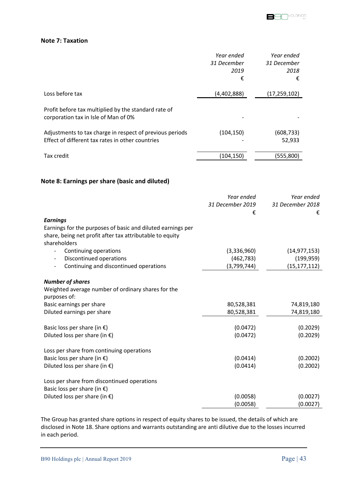

#### **Note 7: Taxation**

|                                                                                                              | Year ended<br>31 December<br>2019<br>€ | Year ended<br>31 December<br>2018<br>€ |
|--------------------------------------------------------------------------------------------------------------|----------------------------------------|----------------------------------------|
| Loss before tax                                                                                              | (4,402,888)                            | (17, 259, 102)                         |
| Profit before tax multiplied by the standard rate of<br>corporation tax in Isle of Man of 0%                 |                                        |                                        |
| Adjustments to tax charge in respect of previous periods<br>Effect of different tax rates in other countries | (104, 150)                             | (608, 733)<br>52,933                   |
| Tax credit                                                                                                   | (104, 150)                             | (555,800)                              |
| Note 8: Earnings per share (basic and diluted)                                                               |                                        |                                        |

|                                                             | Year ended       | Year ended       |
|-------------------------------------------------------------|------------------|------------------|
|                                                             | 31 December 2019 | 31 December 2018 |
|                                                             | €                | €                |
| <b>Earnings</b>                                             |                  |                  |
| Earnings for the purposes of basic and diluted earnings per |                  |                  |
| share, being net profit after tax attributable to equity    |                  |                  |
| shareholders                                                |                  |                  |
| Continuing operations                                       | (3,336,960)      | (14, 977, 153)   |
| Discontinued operations<br>$\overline{\phantom{a}}$         | (462, 783)       | (199, 959)       |
| Continuing and discontinued operations                      | (3,799,744)      | (15, 177, 112)   |
|                                                             |                  |                  |
| <b>Number of shares</b>                                     |                  |                  |
| Weighted average number of ordinary shares for the          |                  |                  |
| purposes of:                                                |                  |                  |
| Basic earnings per share                                    | 80,528,381       | 74,819,180       |
| Diluted earnings per share                                  | 80,528,381       | 74,819,180       |
|                                                             |                  |                  |
| Basic loss per share (in $\epsilon$ )                       | (0.0472)         | (0.2029)         |
| Diluted loss per share (in $\epsilon$ )                     | (0.0472)         | (0.2029)         |
|                                                             |                  |                  |
| Loss per share from continuing operations                   |                  |                  |
| Basic loss per share (in $\epsilon$ )                       | (0.0414)         | (0.2002)         |
| Diluted loss per share (in $\epsilon$ )                     | (0.0414)         | (0.2002)         |
|                                                             |                  |                  |
| Loss per share from discontinued operations                 |                  |                  |
| Basic loss per share (in $\epsilon$ )                       |                  |                  |
| Diluted loss per share (in $\epsilon$ )                     | (0.0058)         | (0.0027)         |
|                                                             | (0.0058)         | (0.0027)         |

The Group has granted share options in respect of equity shares to be issued, the details of which are disclosed in Note 18. Share options and warrants outstanding are anti dilutive due to the losses incurred in each period.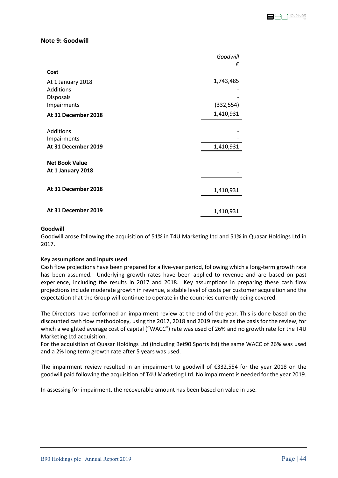

#### **Note 9: Goodwill**

|                       | Goodwill   |
|-----------------------|------------|
|                       | €          |
| Cost                  |            |
| At 1 January 2018     | 1,743,485  |
| Additions             |            |
| <b>Disposals</b>      |            |
| Impairments           | (332, 554) |
| At 31 December 2018   | 1,410,931  |
|                       |            |
| Additions             |            |
| Impairments           |            |
| At 31 December 2019   | 1,410,931  |
| <b>Net Book Value</b> |            |
| At 1 January 2018     |            |
| At 31 December 2018   |            |
|                       | 1,410,931  |
| At 31 December 2019   | 1,410,931  |

#### **Goodwill**

Goodwill arose following the acquisition of 51% in T4U Marketing Ltd and 51% in Quasar Holdings Ltd in 2017.

#### **Key assumptions and inputs used**

Cash flow projections have been prepared for a five-year period, following which a long-term growth rate has been assumed. Underlying growth rates have been applied to revenue and are based on past experience, including the results in 2017 and 2018. Key assumptions in preparing these cash flow projections include moderate growth in revenue, a stable level of costs per customer acquisition and the expectation that the Group will continue to operate in the countries currently being covered.

The Directors have performed an impairment review at the end of the year. This is done based on the discounted cash flow methodology, using the 2017, 2018 and 2019 results as the basis for the review, for which a weighted average cost of capital ("WACC") rate was used of 26% and no growth rate for the T4U Marketing Ltd acquisition.

For the acquisition of Quasar Holdings Ltd (including Bet90 Sports ltd) the same WACC of 26% was used and a 2% long term growth rate after 5 years was used.

The impairment review resulted in an impairment to goodwill of €332,554 for the year 2018 on the goodwill paid following the acquisition of T4U Marketing Ltd. No impairment is needed for the year 2019.

In assessing for impairment, the recoverable amount has been based on value in use.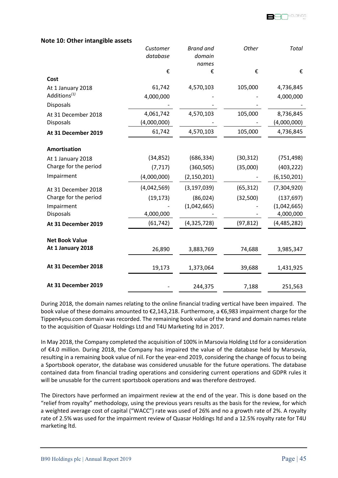

#### **Note 10: Other intangible assets**

|                          | Customer<br>database | <b>Brand and</b><br>domain<br>names | Other     | <b>Total</b>  |
|--------------------------|----------------------|-------------------------------------|-----------|---------------|
|                          | €                    | €                                   | €         | €             |
| Cost                     |                      |                                     |           |               |
| At 1 January 2018        | 61,742               | 4,570,103                           | 105,000   | 4,736,845     |
| Additions <sup>(1)</sup> | 4,000,000            |                                     |           | 4,000,000     |
| <b>Disposals</b>         |                      |                                     |           |               |
| At 31 December 2018      | 4,061,742            | 4,570,103                           | 105,000   | 8,736,845     |
| Disposals                | (4,000,000)          |                                     |           | (4,000,000)   |
| At 31 December 2019      | 61,742               | 4,570,103                           | 105,000   | 4,736,845     |
|                          |                      |                                     |           |               |
| <b>Amortisation</b>      |                      |                                     |           |               |
| At 1 January 2018        | (34, 852)            | (686, 334)                          | (30, 312) | (751, 498)    |
| Charge for the period    | (7, 717)             | (360, 505)                          | (35,000)  | (403, 222)    |
| Impairment               | (4,000,000)          | (2, 150, 201)                       |           | (6, 150, 201) |
| At 31 December 2018      | (4,042,569)          | (3, 197, 039)                       | (65, 312) | (7,304,920)   |
| Charge for the period    | (19, 173)            | (86, 024)                           | (32,500)  | (137, 697)    |
| Impairment               |                      | (1,042,665)                         |           | (1,042,665)   |
| Disposals                | 4,000,000            |                                     |           | 4,000,000     |
| At 31 December 2019      | (61, 742)            | (4,325,728)                         | (97, 812) | (4,485,282)   |
| <b>Net Book Value</b>    |                      |                                     |           |               |
| At 1 January 2018        | 26,890               | 3,883,769                           | 74,688    | 3,985,347     |
| At 31 December 2018      | 19,173               | 1,373,064                           | 39,688    | 1,431,925     |
| At 31 December 2019      |                      | 244,375                             | 7,188     | 251,563       |

During 2018, the domain names relating to the online financial trading vertical have been impaired. The book value of these domains amounted to €2,143,218. Furthermore, a €6,983 impairment charge for the Tippen4you.com domain was recorded. The remaining book value of the brand and domain names relate to the acquisition of Quasar Holdings Ltd and T4U Marketing ltd in 2017.

In May 2018, the Company completed the acquisition of 100% in Marsovia Holding Ltd for a consideration of €4.0 million. During 2018, the Company has impaired the value of the database held by Marsovia, resulting in a remaining book value of nil. For the year-end 2019, considering the change of focus to being a Sportsbook operator, the database was considered unusable for the future operations. The database contained data from financial trading operations and considering current operations and GDPR rules it will be unusable for the current sportsbook operations and was therefore destroyed.

The Directors have performed an impairment review at the end of the year. This is done based on the "relief from royalty" methodology, using the previous years results as the basis for the review, for which a weighted average cost of capital ("WACC") rate was used of 26% and no a growth rate of 2%. A royalty rate of 2.5% was used for the impairment review of Quasar Holdings ltd and a 12.5% royalty rate for T4U marketing ltd.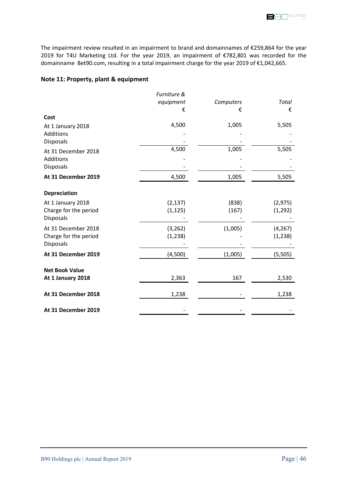The impairment review resulted in an impairment to brand and domainnames of €259,864 for the year 2019 for T4U Marketing Ltd. For the year 2019, an impairment of €782,801 was recorded for the domainname Bet90.com, resulting in a total impairment charge for the year 2019 of €1,042,665.

#### **Note 11: Property, plant & equipment**

| equipment<br>Computers<br>€<br>€<br>Cost<br>4,500<br>1,005<br>At 1 January 2018<br>Additions<br>Disposals<br>4,500<br>1,005<br>At 31 December 2018<br>Additions<br>Disposals<br>At 31 December 2019<br>4,500<br>1,005<br><b>Depreciation</b><br>(2, 137)<br>(838)<br>At 1 January 2018<br>Charge for the period<br>(1, 125)<br>(167)<br>Disposals | <b>Total</b><br>€<br>5,505 |
|---------------------------------------------------------------------------------------------------------------------------------------------------------------------------------------------------------------------------------------------------------------------------------------------------------------------------------------------------|----------------------------|
|                                                                                                                                                                                                                                                                                                                                                   |                            |
|                                                                                                                                                                                                                                                                                                                                                   |                            |
|                                                                                                                                                                                                                                                                                                                                                   |                            |
|                                                                                                                                                                                                                                                                                                                                                   |                            |
|                                                                                                                                                                                                                                                                                                                                                   |                            |
|                                                                                                                                                                                                                                                                                                                                                   |                            |
|                                                                                                                                                                                                                                                                                                                                                   | 5,505                      |
|                                                                                                                                                                                                                                                                                                                                                   |                            |
|                                                                                                                                                                                                                                                                                                                                                   |                            |
|                                                                                                                                                                                                                                                                                                                                                   | 5,505                      |
|                                                                                                                                                                                                                                                                                                                                                   |                            |
|                                                                                                                                                                                                                                                                                                                                                   | (2, 975)                   |
|                                                                                                                                                                                                                                                                                                                                                   | (1, 292)                   |
| At 31 December 2018<br>(3, 262)<br>(1,005)                                                                                                                                                                                                                                                                                                        | (4, 267)                   |
| Charge for the period<br>(1,238)                                                                                                                                                                                                                                                                                                                  | (1,238)                    |
| Disposals                                                                                                                                                                                                                                                                                                                                         |                            |
| At 31 December 2019<br>(4,500)<br>(1,005)                                                                                                                                                                                                                                                                                                         | (5, 505)                   |
| <b>Net Book Value</b>                                                                                                                                                                                                                                                                                                                             |                            |
| 2,363<br>167<br>At 1 January 2018                                                                                                                                                                                                                                                                                                                 | 2,530                      |
| At 31 December 2018<br>1,238                                                                                                                                                                                                                                                                                                                      | 1,238                      |
| At 31 December 2019                                                                                                                                                                                                                                                                                                                               |                            |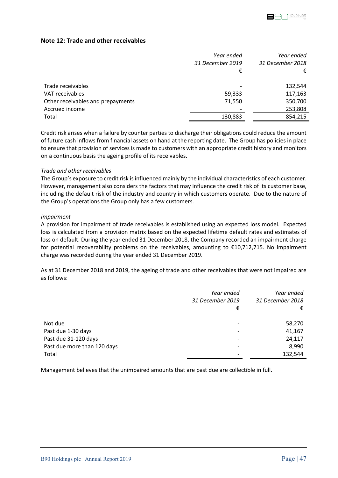

#### **Note 12: Trade and other receivables**

|                                   | Year ended<br>31 December 2019<br>€ | Year ended<br>31 December 2018<br>€ |
|-----------------------------------|-------------------------------------|-------------------------------------|
| Trade receivables                 |                                     | 132,544                             |
| VAT receivables                   | 59,333                              | 117,163                             |
| Other receivables and prepayments | 71,550                              | 350,700                             |
| Accrued income                    |                                     | 253,808                             |
| Total                             | 130,883                             | 854,215                             |

Credit risk arises when a failure by counter parties to discharge their obligations could reduce the amount of future cash inflows from financial assets on hand at the reporting date. The Group has policies in place to ensure that provision of services is made to customers with an appropriate credit history and monitors on a continuous basis the ageing profile of its receivables.

#### *Trade and other receivables*

The Group's exposure to credit risk isinfluenced mainly by the individual characteristics of each customer. However, management also considers the factors that may influence the credit risk of its customer base, including the default risk of the industry and country in which customers operate. Due to the nature of the Group's operations the Group only has a few customers.

#### *Impairment*

A provision for impairment of trade receivables is established using an expected loss model. Expected loss is calculated from a provision matrix based on the expected lifetime default rates and estimates of loss on default. During the year ended 31 December 2018, the Company recorded an impairment charge for potential recoverability problems on the receivables, amounting to €10,712,715. No impairment charge was recorded during the year ended 31 December 2019.

As at 31 December 2018 and 2019, the ageing of trade and other receivables that were not impaired are as follows:

|                             | Year ended<br>31 December 2019<br>€ | Year ended<br>31 December 2018<br>€ |
|-----------------------------|-------------------------------------|-------------------------------------|
| Not due                     | ٠                                   | 58,270                              |
| Past due 1-30 days          | $\overline{\phantom{0}}$            | 41,167                              |
| Past due 31-120 days        |                                     | 24,117                              |
| Past due more than 120 days | $\overline{\phantom{0}}$            | 8,990                               |
| Total                       |                                     | 132,544                             |

Management believes that the unimpaired amounts that are past due are collectible in full.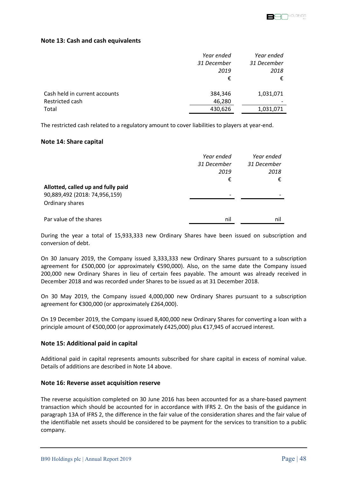

#### **Note 13: Cash and cash equivalents**

|                               | Year ended  | Year ended  |
|-------------------------------|-------------|-------------|
|                               | 31 December | 31 December |
|                               | 2019        | 2018        |
|                               | €           | €           |
| Cash held in current accounts | 384,346     | 1,031,071   |
| Restricted cash               | 46,280      |             |
| Total                         | 430,626     | 1,031,071   |

The restricted cash related to a regulatory amount to cover liabilities to players at year-end.

#### **Note 14: Share capital**

|                                    | Year ended  | Year ended  |
|------------------------------------|-------------|-------------|
|                                    | 31 December | 31 December |
|                                    | 2019        | 2018        |
|                                    | €           | €           |
| Allotted, called up and fully paid |             |             |
| 90,889,492 (2018: 74,956,159)      |             |             |
| Ordinary shares                    |             |             |
| Par value of the shares            | nil         | nil         |

During the year a total of 15,933,333 new Ordinary Shares have been issued on subscription and conversion of debt.

On 30 January 2019, the Company issued 3,333,333 new Ordinary Shares pursuant to a subscription agreement for £500,000 (or approximately €590,000). Also, on the same date the Company issued 200,000 new Ordinary Shares in lieu of certain fees payable. The amount was already received in December 2018 and was recorded under Shares to be issued as at 31 December 2018.

On 30 May 2019, the Company issued 4,000,000 new Ordinary Shares pursuant to a subscription agreement for €300,000 (or approximately £264,000).

On 19 December 2019, the Company issued 8,400,000 new Ordinary Shares for converting a loan with a principle amount of €500,000 (or approximately £425,000) plus €17,945 of accrued interest.

#### **Note 15: Additional paid in capital**

Additional paid in capital represents amounts subscribed for share capital in excess of nominal value. Details of additions are described in Note 14 above.

#### **Note 16: Reverse asset acquisition reserve**

The reverse acquisition completed on 30 June 2016 has been accounted for as a share-based payment transaction which should be accounted for in accordance with IFRS 2. On the basis of the guidance in paragraph 13A of IFRS 2, the difference in the fair value of the consideration shares and the fair value of the identifiable net assets should be considered to be payment for the services to transition to a public company.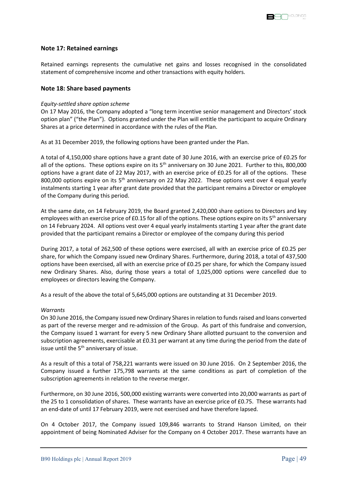

#### **Note 17: Retained earnings**

Retained earnings represents the cumulative net gains and losses recognised in the consolidated statement of comprehensive income and other transactions with equity holders.

#### **Note 18: Share based payments**

#### *Equity-settled share option scheme*

On 17 May 2016, the Company adopted a "long term incentive senior management and Directors' stock option plan" ("the Plan"). Options granted under the Plan will entitle the participant to acquire Ordinary Shares at a price determined in accordance with the rules of the Plan.

As at 31 December 2019, the following options have been granted under the Plan.

A total of 4,150,000 share options have a grant date of 30 June 2016, with an exercise price of £0.25 for all of the options. These options expire on its 5<sup>th</sup> anniversary on 30 June 2021. Further to this, 800,000 options have a grant date of 22 May 2017, with an exercise price of £0.25 for all of the options. These 800,000 options expire on its 5<sup>th</sup> anniversary on 22 May 2022. These options vest over 4 equal yearly instalments starting 1 year after grant date provided that the participant remains a Director or employee of the Company during this period.

At the same date, on 14 February 2019, the Board granted 2,420,000 share options to Directors and key employees with an exercise price of £0.15 for all of the options. These options expire on its 5<sup>th</sup> anniversary on 14 February 2024. All options vest over 4 equal yearly instalments starting 1 year after the grant date provided that the participant remains a Director or employee of the company during this period

During 2017, a total of 262,500 of these options were exercised, all with an exercise price of £0.25 per share, for which the Company issued new Ordinary Shares. Furthermore, during 2018, a total of 437,500 options have been exercised, all with an exercise price of £0.25 per share, for which the Company issued new Ordinary Shares. Also, during those years a total of 1,025,000 options were cancelled due to employees or directors leaving the Company.

As a result of the above the total of 5,645,000 options are outstanding at 31 December 2019.

#### *Warrants*

On 30 June 2016, the Company issued new Ordinary Sharesin relation to fundsraised and loans converted as part of the reverse merger and re-admission of the Group. As part of this fundraise and conversion, the Company issued 1 warrant for every 5 new Ordinary Share allotted pursuant to the conversion and subscription agreements, exercisable at £0.31 per warrant at any time during the period from the date of issue until the  $5<sup>th</sup>$  anniversary of issue.

As a result of this a total of 758,221 warrants were issued on 30 June 2016. On 2 September 2016, the Company issued a further 175,798 warrants at the same conditions as part of completion of the subscription agreements in relation to the reverse merger.

Furthermore, on 30 June 2016, 500,000 existing warrants were converted into 20,000 warrants as part of the 25 to 1 consolidation of shares. These warrants have an exercise price of £0.75. These warrants had an end-date of until 17 February 2019, were not exercised and have therefore lapsed.

On 4 October 2017, the Company issued 109,846 warrants to Strand Hanson Limited, on their appointment of being Nominated Adviser for the Company on 4 October 2017. These warrants have an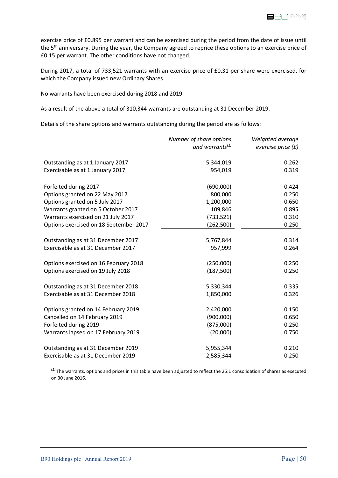exercise price of £0.895 per warrant and can be exercised during the period from the date of issue until the 5<sup>th</sup> anniversary. During the year, the Company agreed to reprice these options to an exercise price of £0.15 per warrant. The other conditions have not changed.

During 2017, a total of 733,521 warrants with an exercise price of £0.31 per share were exercised, for which the Company issued new Ordinary Shares.

No warrants have been exercised during 2018 and 2019.

As a result of the above a total of 310,344 warrants are outstanding at 31 December 2019.

Details of the share options and warrants outstanding during the period are as follows:

|                                        | Number of share options | Weighted average     |
|----------------------------------------|-------------------------|----------------------|
|                                        | and warrants $(1)$      | exercise price $(f)$ |
| Outstanding as at 1 January 2017       | 5,344,019               | 0.262                |
| Exercisable as at 1 January 2017       | 954,019                 | 0.319                |
| Forfeited during 2017                  | (690,000)               | 0.424                |
| Options granted on 22 May 2017         | 800,000                 | 0.250                |
| Options granted on 5 July 2017         | 1,200,000               | 0.650                |
| Warrants granted on 5 October 2017     | 109,846                 | 0.895                |
| Warrants exercised on 21 July 2017     | (733, 521)              | 0.310                |
| Options exercised on 18 September 2017 | (262,500)               | 0.250                |
|                                        |                         |                      |
| Outstanding as at 31 December 2017     | 5,767,844               | 0.314                |
| Exercisable as at 31 December 2017     | 957,999                 | 0.264                |
| Options exercised on 16 February 2018  | (250,000)               | 0.250                |
| Options exercised on 19 July 2018      | (187, 500)              | 0.250                |
|                                        |                         |                      |
| Outstanding as at 31 December 2018     | 5,330,344               | 0.335                |
| Exercisable as at 31 December 2018     | 1,850,000               | 0.326                |
|                                        |                         |                      |
| Options granted on 14 February 2019    | 2,420,000               | 0.150                |
| Cancelled on 14 February 2019          | (900,000)               | 0.650                |
| Forfeited during 2019                  | (875,000)               | 0.250                |
| Warrants lapsed on 17 February 2019    | (20,000)                | 0.750                |
|                                        |                         |                      |
| Outstanding as at 31 December 2019     | 5,955,344               | 0.210                |
| Exercisable as at 31 December 2019     | 2,585,344               | 0.250                |

*(1)* The warrants, options and prices in this table have been adjusted to reflect the 25:1 consolidation of shares as executed on 30 June 2016.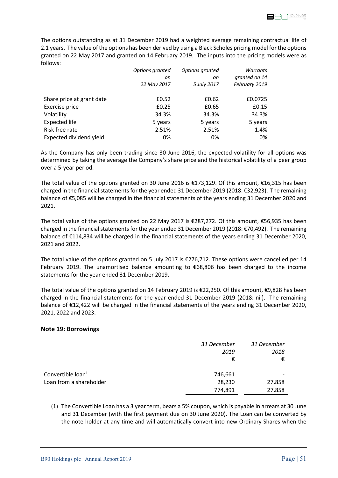

The options outstanding as at 31 December 2019 had a weighted average remaining contractual life of 2.1 years. The value of the options has been derived by using a Black Scholes pricing model forthe options granted on 22 May 2017 and granted on 14 February 2019. The inputs into the pricing models were as follows:

|                           | Options granted | Options granted | Warrants      |
|---------------------------|-----------------|-----------------|---------------|
|                           | on              | on              | granted on 14 |
|                           | 22 May 2017     | 5 July 2017     | February 2019 |
|                           |                 |                 |               |
| Share price at grant date | £0.52           | £0.62           | £0.0725       |
| Exercise price            | £0.25           | £0.65           | £0.15         |
| Volatility                | 34.3%           | 34.3%           | 34.3%         |
| <b>Expected life</b>      | 5 years         | 5 years         | 5 years       |
| Risk free rate            | 2.51%           | 2.51%           | 1.4%          |
| Expected dividend yield   | 0%              | 0%              | 0%            |

As the Company has only been trading since 30 June 2016, the expected volatility for all options was determined by taking the average the Company's share price and the historical volatility of a peer group over a 5-year period.

The total value of the options granted on 30 June 2016 is €173,129. Of this amount, €16,315 has been charged in the financial statements for the year ended 31 December 2019 (2018: €32,923). The remaining balance of €5,085 will be charged in the financial statements of the years ending 31 December 2020 and 2021.

The total value of the options granted on 22 May 2017 is €287,272. Of this amount, €56,935 has been charged in the financial statements for the year ended 31 December 2019 (2018: €70,492). The remaining balance of €114,834 will be charged in the financial statements of the years ending 31 December 2020, 2021 and 2022.

The total value of the options granted on 5 July 2017 is €276,712. These options were cancelled per 14 February 2019. The unamortised balance amounting to  $\epsilon$ 68,806 has been charged to the income statements for the year ended 31 December 2019.

The total value of the options granted on 14 February 2019 is €22,250. Of this amount, €9,828 has been charged in the financial statements for the year ended 31 December 2019 (2018: nil). The remaining balance of €12,422 will be charged in the financial statements of the years ending 31 December 2020, 2021, 2022 and 2023.

#### **Note 19: Borrowings**

|                               | 31 December<br>2019 | 31 December<br>2018 |
|-------------------------------|---------------------|---------------------|
|                               | €                   | €                   |
| Convertible loan <sup>1</sup> | 746,661             |                     |
| Loan from a shareholder       | 28,230              | 27,858              |
|                               | 774,891             | 27,858              |

(1) The Convertible Loan has a 3 year term, bears a 5% coupon, which is payable in arrears at 30 June and 31 December (with the first payment due on 30 June 2020). The Loan can be converted by the note holder at any time and will automatically convert into new Ordinary Shares when the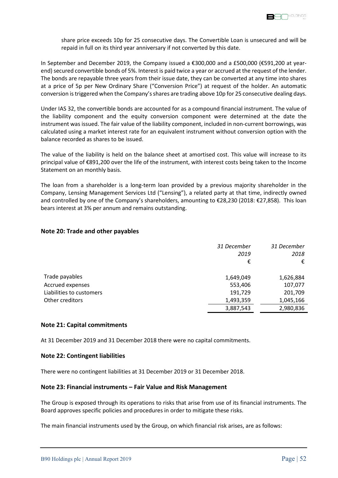share price exceeds 10p for 25 consecutive days. The Convertible Loan is unsecured and will be repaid in full on its third year anniversary if not converted by this date.

In September and December 2019, the Company issued a €300,000 and a £500,000 (€591,200 at yearend) secured convertible bonds of 5%. Interest is paid twice a year or accrued at the request of the lender. The bonds are repayable three years from their issue date, they can be converted at any time into shares at a price of 5p per New Ordinary Share ("Conversion Price") at request of the holder. An automatic conversion is triggered when the Company's shares are trading above 10p for 25 consecutive dealing days.

Under IAS 32, the convertible bonds are accounted for as a compound financial instrument. The value of the liability component and the equity conversion component were determined at the date the instrument was issued. The fair value of the liability component, included in non-current borrowings, was calculated using a market interest rate for an equivalent instrument without conversion option with the balance recorded as shares to be issued.

The value of the liability is held on the balance sheet at amortised cost. This value will increase to its principal value of €891,200 over the life of the instrument, with interest costs being taken to the Income Statement on an monthly basis.

The loan from a shareholder is a long-term loan provided by a previous majority shareholder in the Company, Lensing Management Services Ltd ("Lensing"), a related party at that time, indirectly owned and controlled by one of the Company's shareholders, amounting to €28,230 (2018: €27,858). This loan bears interest at 3% per annum and remains outstanding.

#### **Note 20: Trade and other payables**

|                          | 31 December | 31 December |
|--------------------------|-------------|-------------|
|                          | 2019        | 2018        |
|                          | €           | €           |
| Trade payables           | 1,649,049   | 1,626,884   |
| Accrued expenses         | 553,406     | 107,077     |
| Liabilities to customers | 191,729     | 201,709     |
| Other creditors          | 1,493,359   | 1,045,166   |
|                          | 3,887,543   | 2,980,836   |

#### **Note 21: Capital commitments**

At 31 December 2019 and 31 December 2018 there were no capital commitments.

#### **Note 22: Contingent liabilities**

There were no contingent liabilities at 31 December 2019 or 31 December 2018.

#### **Note 23: Financial instruments – Fair Value and Risk Management**

The Group is exposed through its operations to risks that arise from use of its financial instruments. The Board approves specific policies and procedures in order to mitigate these risks.

The main financial instruments used by the Group, on which financial risk arises, are as follows: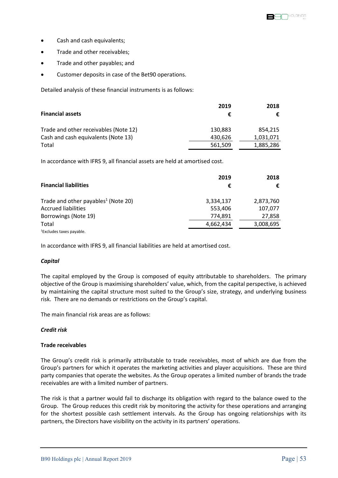

- Cash and cash equivalents;
- Trade and other receivables;
- Trade and other payables; and
- Customer deposits in case of the Bet90 operations.

Detailed analysis of these financial instruments is as follows:

| <b>Financial assets</b>               | 2019<br>€ | 2018      |
|---------------------------------------|-----------|-----------|
| Trade and other receivables (Note 12) | 130.883   | 854.215   |
| Cash and cash equivalents (Note 13)   | 430,626   | 1,031,071 |
| Total                                 | 561,509   | 1,885,286 |

In accordance with IFRS 9, all financial assets are held at amortised cost.

| <b>Financial liabilities</b>                    | 2019<br>€ | 2018<br>€ |
|-------------------------------------------------|-----------|-----------|
| Trade and other payables <sup>1</sup> (Note 20) | 3,334,137 | 2,873,760 |
| <b>Accrued liabilities</b>                      | 553,406   | 107,077   |
| Borrowings (Note 19)                            | 774,891   | 27,858    |
| Total                                           | 4,662,434 | 3,008,695 |
| <sup>1</sup> Excludes taxes payable.            |           |           |

In accordance with IFRS 9, all financial liabilities are held at amortised cost.

#### *Capital*

The capital employed by the Group is composed of equity attributable to shareholders. The primary objective of the Group is maximising shareholders' value, which, from the capital perspective, is achieved by maintaining the capital structure most suited to the Group's size, strategy, and underlying business risk. There are no demands or restrictions on the Group's capital.

The main financial risk areas are as follows:

#### *Credit risk*

#### **Trade receivables**

The Group's credit risk is primarily attributable to trade receivables, most of which are due from the Group's partners for which it operates the marketing activities and player acquisitions. These are third party companies that operate the websites. As the Group operates a limited number of brands the trade receivables are with a limited number of partners.

The risk is that a partner would fail to discharge its obligation with regard to the balance owed to the Group. The Group reduces this credit risk by monitoring the activity for these operations and arranging for the shortest possible cash settlement intervals. As the Group has ongoing relationships with its partners, the Directors have visibility on the activity in its partners' operations.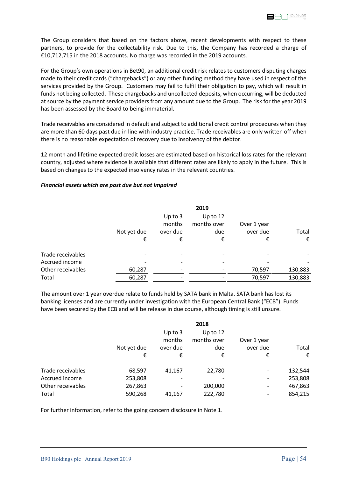

The Group considers that based on the factors above, recent developments with respect to these partners, to provide for the collectability risk. Due to this, the Company has recorded a charge of €10,712,715 in the 2018 accounts. No charge was recorded in the 2019 accounts.

For the Group's own operations in Bet90, an additional credit risk relates to customers disputing charges made to their credit cards ("chargebacks") or any other funding method they have used in respect of the services provided by the Group. Customers may fail to fulfil their obligation to pay, which will result in funds not being collected. These chargebacks and uncollected deposits, when occurring, will be deducted at source by the payment service providersfrom any amount due to the Group. The risk for the year 2019 has been assessed by the Board to being immaterial.

Trade receivables are considered in default and subject to additional credit control procedures when they are more than 60 days past due in line with industry practice. Trade receivables are only written off when there is no reasonable expectation of recovery due to insolvency of the debtor.

12 month and lifetime expected credit losses are estimated based on historical loss rates for the relevant country, adjusted where evidence is available that different rates are likely to apply in the future. This is based on changes to the expected insolvency rates in the relevant countries.

#### *Financial assets which are past due but not impaired*

|                   |             |           | 2019                     |             |         |
|-------------------|-------------|-----------|--------------------------|-------------|---------|
|                   |             | Up to $3$ | Up to $12$               |             |         |
|                   |             | months    | months over              | Over 1 year |         |
|                   | Not yet due | over due  | due                      | over due    | Total   |
|                   | €           | €         | €                        | €           | €       |
| Trade receivables |             |           | $\overline{\phantom{a}}$ |             |         |
| Accrued income    |             |           | $\overline{\phantom{a}}$ |             |         |
| Other receivables | 60,287      |           |                          | 70,597      | 130,883 |
| Total             | 60,287      |           |                          | 70,597      | 130,883 |

The amount over 1 year overdue relate to funds held by SATA bank in Malta. SATA bank has lost its banking licenses and are currently under investigation with the European Central Bank ("ECB"). Funds have been secured by the ECB and will be release in due course, although timing is still unsure.

|                   |             |           | 2018        |             |         |
|-------------------|-------------|-----------|-------------|-------------|---------|
|                   |             | Up to $3$ | Up to $12$  |             |         |
|                   |             | months    | months over | Over 1 year |         |
|                   | Not yet due | over due  | due         | over due    | Total   |
|                   | €           | €         | €           | €           | €       |
| Trade receivables | 68,597      | 41,167    | 22,780      |             | 132,544 |
| Accrued income    | 253,808     |           |             |             | 253,808 |
| Other receivables | 267,863     |           | 200,000     |             | 467,863 |
| Total             | 590,268     | 41,167    | 222,780     |             | 854,215 |

For further information, refer to the going concern disclosure in Note 1.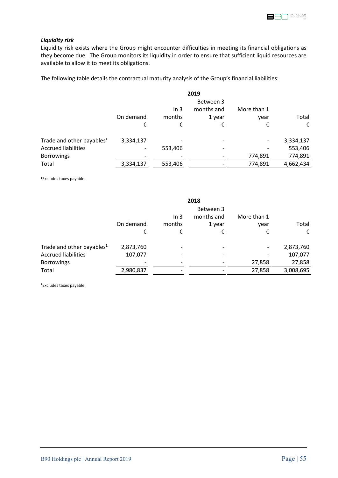#### *Liquidity risk*

Liquidity risk exists where the Group might encounter difficulties in meeting its financial obligations as they become due. The Group monitors its liquidity in order to ensure that sufficient liquid resources are available to allow it to meet its obligations.

The following table details the contractual maturity analysis of the Group's financial liabilities:

|                                       |           |                 | 2019                     |             |           |  |
|---------------------------------------|-----------|-----------------|--------------------------|-------------|-----------|--|
|                                       |           | Between 3       |                          |             |           |  |
|                                       |           | In <sub>3</sub> | months and               | More than 1 |           |  |
|                                       | On demand | months          | 1 year                   | vear        | Total     |  |
|                                       | €         | €               | €                        | €           | €         |  |
| Trade and other payables <sup>1</sup> | 3,334,137 |                 | $\overline{\phantom{0}}$ |             | 3,334,137 |  |
| <b>Accrued liabilities</b>            |           | 553,406         |                          |             | 553,406   |  |
| <b>Borrowings</b>                     |           |                 |                          | 774,891     | 774,891   |  |
| Total                                 | 3,334,137 | 553,406         |                          | 774,891     | 4,662,434 |  |

**<sup>1</sup>**Excludes taxes payable.

|                                       |           |           | 2018                     |             |           |  |
|---------------------------------------|-----------|-----------|--------------------------|-------------|-----------|--|
|                                       |           | Between 3 |                          |             |           |  |
|                                       |           | ln 3      | months and               | More than 1 |           |  |
|                                       | On demand | months    | 1 year                   | year        | Total     |  |
|                                       | €         | €         | €                        | €           | €         |  |
| Trade and other payables <sup>1</sup> | 2,873,760 |           | $\overline{\phantom{a}}$ |             | 2,873,760 |  |
| <b>Accrued liabilities</b>            | 107,077   |           | $\overline{\phantom{a}}$ |             | 107,077   |  |
| <b>Borrowings</b>                     |           |           |                          | 27,858      | 27,858    |  |
| Total                                 | 2,980,837 |           |                          | 27,858      | 3,008,695 |  |

**<sup>1</sup>**Excludes taxes payable.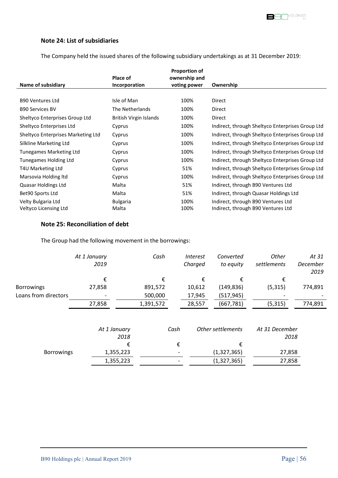

## **Note 24: List of subsidiaries**

The Company held the issued shares of the following subsidiary undertakings as at 31 December 2019:

|                                    | Place of               | <b>Proportion of</b><br>ownership and |                                                  |
|------------------------------------|------------------------|---------------------------------------|--------------------------------------------------|
| Name of subsidiary                 | Incorporation          | voting power                          | Ownership                                        |
|                                    |                        |                                       |                                                  |
| <b>B90 Ventures Ltd</b>            | Isle of Man            | 100%                                  | <b>Direct</b>                                    |
| <b>B90 Services BV</b>             | The Netherlands        | 100%                                  | <b>Direct</b>                                    |
| Sheltyco Enterprises Group Ltd     | British Virgin Islands | 100%                                  | Direct                                           |
| Sheltyco Enterprises Ltd           | Cyprus                 | 100%                                  | Indirect, through Sheltyco Enterprises Group Ltd |
| Sheltyco Enterprises Marketing Ltd | Cyprus                 | 100%                                  | Indirect, through Sheltyco Enterprises Group Ltd |
| Silkline Marketing Ltd             | Cyprus                 | 100%                                  | Indirect, through Sheltyco Enterprises Group Ltd |
| <b>Tunegames Marketing Ltd</b>     | Cyprus                 | 100%                                  | Indirect, through Sheltyco Enterprises Group Ltd |
| Tunegames Holding Ltd              | Cyprus                 | 100%                                  | Indirect, through Sheltyco Enterprises Group Ltd |
| T4U Marketing Ltd                  | Cyprus                 | 51%                                   | Indirect, through Sheltyco Enterprises Group Ltd |
| Marsovia Holding Itd               | Cyprus                 | 100%                                  | Indirect, through Sheltyco Enterprises Group Ltd |
| Quasar Holdings Ltd                | Malta                  | 51%                                   | Indirect, through B90 Ventures Ltd               |
| Bet90 Sports Ltd                   | Malta                  | 51%                                   | Indirect, through Quasar Holdings Ltd            |
| Velty Bulgaria Ltd                 | <b>Bulgaria</b>        | 100%                                  | Indirect, through B90 Ventures Ltd               |
| Veltyco Licensing Ltd              | Malta                  | 100%                                  | Indirect, through B90 Ventures Ltd               |

## **Note 25: Reconciliation of debt**

The Group had the following movement in the borrowings:

|                      | At 1 January<br>2019 | Cash      | <b>Interest</b><br>Charged | Converted<br>to equity | Other<br>settlements | At 31<br>December<br>2019 |
|----------------------|----------------------|-----------|----------------------------|------------------------|----------------------|---------------------------|
|                      | €                    | €         | €                          | €                      | €                    |                           |
| <b>Borrowings</b>    | 27,858               | 891,572   | 10,612                     | (149, 836)             | (5, 315)             | 774,891                   |
| Loans from directors |                      | 500,000   | 17,945                     | (517, 945)             |                      |                           |
|                      | 27,858               | 1,391,572 | 28,557                     | (667, 781)             | (5, 315)             | 774,891                   |
| At 1 January         |                      |           | Other settlements<br>Cash  |                        | At 31 December       |                           |
|                      | 2018                 |           |                            |                        | 2018                 |                           |
|                      | €                    |           | €                          | €                      |                      |                           |
| <b>Borrowings</b>    | 1,355,223            |           |                            | (1,327,365)            | 27,858               |                           |
|                      | 1,355,223            |           |                            | (1,327,365)            | 27,858               |                           |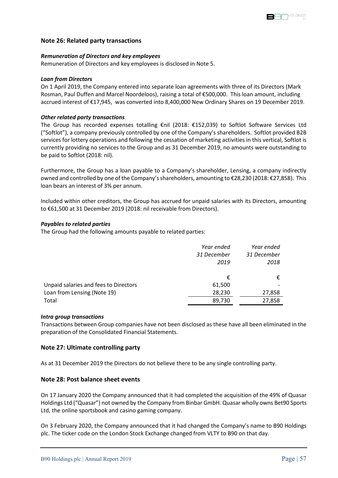#### **Note 26: Related party transactions**

#### *Remuneration of Directors and key employees*

Remuneration of Directors and key employees is disclosed in Note 5.

#### *Loan from Directors*

On 1 April 2019, the Company entered into separate loan agreements with three of its Directors (Mark Rosman, Paul Duffen and Marcel Noordeloos), raising a total of €500,000. This loan amount, including accrued interest of €17,945, was converted into 8,400,000 New Ordinary Shares on 19 December 2019.

#### *Other related party transactions*

The Group has recorded expenses totalling €nil (2018: €152,039) to Softlot Software Services Ltd ("Softlot"), a company previously controlled by one of the Company's shareholders. Softlot provided B2B services for lottery operations and following the cessation of marketing activities in this vertical, Softlot is currently providing no services to the Group and as 31 December 2019, no amounts were outstanding to be paid to Softlot (2018: nil).

Furthermore, the Group has a loan payable to a Company's shareholder, Lensing, a company indirectly owned and controlled by one of the Company's shareholders, amounting to €28,230 (2018: €27,858). This loan bears an interest of 3% per annum.

Included within other creditors, the Group has accrued for unpaid salaries with its Directors, amounting to €61,500 at 31 December 2019 (2018: nil receivable from Directors).

#### *Payables to related parties*

The Group had the following amounts payable to related parties:

|                                       | Year ended  | Year ended  |
|---------------------------------------|-------------|-------------|
|                                       | 31 December | 31 December |
|                                       | 2019        | 2018        |
|                                       | €           | €           |
| Unpaid salaries and fees to Directors | 61,500      |             |
| Loan from Lensing (Note 19)           | 28,230      | 27,858      |
| Total                                 | 89,730      | 27,858      |

#### *Intra group transactions*

Transactions between Group companies have not been disclosed as these have all been eliminated in the preparation of the Consolidated Financial Statements.

#### **Note 27: Ultimate controlling party**

As at 31 December 2019 the Directors do not believe there to be any single controlling party.

#### **Note 28: Post balance sheet events**

On 17 January 2020 the Company announced that it had completed the acquisition of the 49% of Quasar Holdings Ltd ("Quasar") not owned by the Company from Binbar GmbH. Quasar wholly owns Bet90 Sports Ltd, the online sportsbook and casino gaming company.

On 3 February 2020, the Company announced that it had changed the Company's name to B90 Holdings plc. The ticker code on the London Stock Exchange changed from VLTY to B90 on that day.